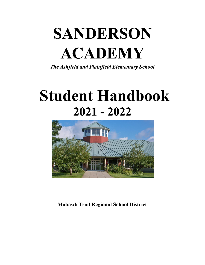# **SANDERSON ACADEMY**

*The Ashfield and Plainfield Elementary School*

# **Student Handbook 2021 - 2022**



**Mohawk Trail Regional School District**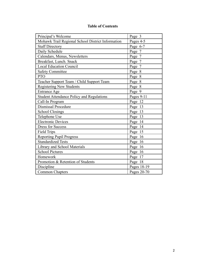# **Table of Contents**

| Principal's Welcome                               | Page 3      |
|---------------------------------------------------|-------------|
| Mohawk Trail Regional School District Information | Pages 4-5   |
| <b>Staff Directory</b>                            | Page 6-7    |
| Daily Schedule                                    | Page 7      |
| Calendars, Menus, Newsletters                     | Page 7      |
| Breakfast, Lunch. Snack                           | Page 7      |
| <b>Local Education Council</b>                    | Page 7      |
| <b>Safety Committee</b>                           | Page 8      |
| <b>PTO</b>                                        | Page 8      |
| Teacher Support Team / Child Support Team         | Page 8      |
| <b>Registering New Students</b>                   | Page 8      |
| <b>Entrance Age</b>                               | Page 9      |
| <b>Student Attendance Policy and Regulations</b>  | Pages 9-11  |
| Call-In Program                                   | Page 12     |
| Dismissal Procedure                               | Page 13     |
| <b>School Closings</b>                            | Page 13     |
| Telephone Use                                     | Page 13     |
| <b>Electronic Devices</b>                         | Page 14     |
| <b>Dress for Success</b>                          | Page 14     |
| <b>Field Trips</b>                                | Page 15     |
| <b>Reporting Pupil Progress</b>                   | Page 16     |
| <b>Standardized Tests</b>                         | Page 16     |
| <b>Library and School Materials</b>               | Page 16     |
| <b>School Pictures</b>                            | Page 16     |
| Homework                                          | Page 17     |
| Promotion & Retention of Students                 | Page 18     |
| Discipline                                        | Pages 18-19 |
| <b>Common Chapters</b>                            | Pages 20-70 |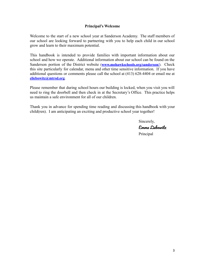#### **Principal's Welcome**

Welcome to the start of a new school year at Sanderson Academy. The staff members of our school are looking forward to partnering with you to help each child in our school grow and learn to their maximum potential.

This handbook is intended to provide families with important information about our school and how we operate. Additional information about our school can be found on the Sanderson portion of the District website (**[www.mohawkschools.org/sanderson/](http://www.mohawkschools.org/sanderson/)**). Check this site particularly for calendar, menu and other time sensitive information. If you have additional questions or comments please call the school at (413) 628-4404 or email me at **eliebowitz@mtrsd.org**.

Please remember that during school hours our building is locked, when you visit you will need to ring the doorbell and then check in at the Secretary's Office. This practice helps us maintain a safe environment for all of our children.

Thank you in advance for spending time reading and discussing this handbook with your child(ren). I am anticipating an exciting and productive school year together!

Sincerely,

Emma Liebowitz

Principal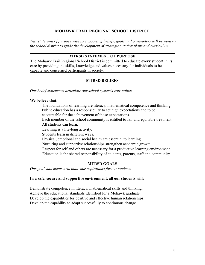#### **MOHAWK TRAIL REGIONAL SCHOOL DISTRICT**

*This statement of purpose with its supporting beliefs, goals and parameters will be used by the school district to guide the development of strategies, action plans and curriculum.*

#### **MTRSD STATEMENT OF PURPOSE**

The Mohawk Trail Regional School District is committed to educate **every** student in its care by providing the skills, knowledge and values necessary for individuals to be capable and concerned participants in society.

#### **MTRSD BELIEFS**

*Our belief statements articulate our school system's core values.*

#### **We believe that:**

The foundations of learning are literacy, mathematical competence and thinking. Public education has a responsibility to set high expectations and to be accountable for the achievement of those expectations. Each member of the school community is entitled to fair and equitable treatment. All students can learn. Learning is a life-long activity. Students learn in different ways. Physical, emotional and social health are essential to learning. Nurturing and supportive relationships strengthen academic growth. Respect for self and others are necessary for a productive learning environment. Education is the shared responsibility of students, parents, staff and community.

#### **MTRSD GOALS**

*Our goal statements articulate our aspirations for our students.*

#### **In a safe, secure and supportive environment, all our students will:**

Demonstrate competence in literacy, mathematical skills and thinking. Achieve the educational standards identified for a Mohawk graduate. Develop the capabilities for positive and effective human relationships. Develop the capability to adapt successfully to continuous change.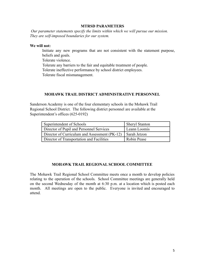#### **MTRSD PARAMETERS**

*Our parameter statements specify the limits within which we will pursue our mission. They are self-imposed boundaries for our system.*

#### **We will not:**

Initiate any new programs that are not consistent with the statement purpose, beliefs and goals.

Tolerate violence.

Tolerate any barriers to the fair and equitable treatment of people.

Tolerate ineffective performance by school district employees.

Tolerate fiscal mismanagement.

#### **MOHAWK TRAIL DISTRICT ADMINISTRATIVE PERSONNEL**

Sanderson Academy is one of the four elementary schools in the Mohawk Trail Regional School District. The following district personnel are available at the Superintendent's offices (625-0192)

| Superintendent of Schools                     | <b>Sheryl Stanton</b> |
|-----------------------------------------------|-----------------------|
| Director of Pupil and Personnel Services      | Leann Loomis          |
| Director of Curriculum and Assessment (PK-12) | Sarah Jetzon          |
| Director of Transportation and Facilities     | Robin Pease           |

#### **MOHAWK TRAIL REGIONAL SCHOOL COMMITTEE**

The Mohawk Trail Regional School Committee meets once a month to develop policies relating to the operation of the schools. School Committee meetings are generally held on the second Wednesday of the month at 6:30 p.m. at a location which is posted each month. All meetings are open to the public. Everyone is invited and encouraged to attend.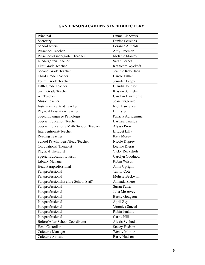| Principal                                | Emma Liebowitz         |
|------------------------------------------|------------------------|
| Secretary                                | <b>Denise Sessions</b> |
| School Nurse                             | Loranna Almeida        |
| Preschool Teacher                        | Amy Freeman            |
| Preschool/Kindergarten Teacher           | Melanie Manley         |
| Kindergarten Teacher                     | <b>Sarah Forbes</b>    |
| <b>First Grade Teacher</b>               | Kathleem Wyckoff       |
| <b>Second Grade Teacher</b>              | Jeannie Robertson      |
| Third Grade Teacher                      | Carole Fisher          |
| Fourth Grade Teacher                     | Jennifer Lagoy         |
| Fifth Grade Teacher                      | Claudia Johnson        |
| <b>Sixth Grade Teacher</b>               | Kristen Schrieber      |
| <b>Art Teacher</b>                       | Carolyn Hawthorne      |
| Music Teacher                            | Joan Fitzgerald        |
| <b>Instrumental/Band Teacher</b>         | Nick Lawrence          |
| <b>Physical Education Teacher</b>        | Liz Tyler              |
| Speech/Language Pathologist              | Patricia Aurigemma     |
| <b>Special Education Teacher</b>         | <b>Barbara Unaitus</b> |
| Special Education / Math Support Teacher | Alyssa Prew            |
| Interventionist/Teacher                  | <b>Bridget Lilly</b>   |
| Reading Teacher                          | Katy Morey             |
| School Psychologist/Head Teacher         | <b>Nicole Duprey</b>   |
| Occupational Therapist                   | Leanne Kieras          |
| Physical Therapist                       | <b>Vicky Rockstroh</b> |
| <b>Special Education Liaison</b>         | Carolyn Goodnow        |
| Library Manager                          | Robin Wilson           |
| Head Paraprofessional                    | Anita Upright          |
| Paraprofessional                         | Taylor Cote            |
| Paraprofessional                         | Melissa Beckwith       |
| Paraprofessional/Before School Staff     | Amanda Shero           |
| Paraprofessional                         | Susan Fuller           |
| Paraprofessional                         | Julia Meservey         |
| Paraprofessional                         | <b>Becky Gougeon</b>   |
| Paraprofessional                         | April Guy              |
| Paraprofessional                         | Veronica Smead         |
| Paraprofessional                         | Robin Jenkins          |
| Paraprofessional                         | Carrie Hill            |
| Before/After School Coordinator          | Alexis Svoboda         |
| Head Custodian                           | <b>Stacey Hudson</b>   |
| Cafeteria Manager                        | <b>Wendy Mimitz</b>    |
| Cafeteria Assistant                      | <b>Barry Hudson</b>    |

# **SANDERSON ACADEMY STAFF DIRECTORY**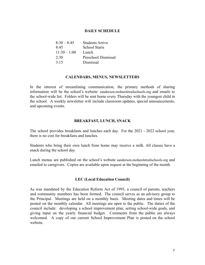#### **DAILY SCHEDULE**

| $8:30 - 8:45$  | <b>Students Arrive</b> |
|----------------|------------------------|
| 8:45           | <b>School Starts</b>   |
| $11:30 - 1:00$ | Lunch                  |
| 2:30           | Preschool Dismissal    |
| 3.15           | Dismissal              |

#### **CALENDARS, MENUS, NEWSLETTERS**

In the interest of streamlining communication, the primary methods of sharing information will be the school's website: sanderson.mohawktrailschools.org [a](http://www.mohawkschools.org/sanderson/)nd emails to the school-wide list. Folders will be sent home every Thursday with the youngest child in the school. A weekly newsletter will include classroom updates, special announcements, and upcoming events.

#### **BREAKFAST, LUNCH, SNACK**

The school provides breakfasts and lunches each day. For the 2021 - 2022 school year, there is no cost for breakfasts and lunches.

Students who bring their own lunch from home may receive a milk. All classes have a snack during the school day.

Lunch menus are published on the school's website sanderson.mohawktrailschools.org and emailed to caregivers. Copies are available upon request at the beginning of the month.

#### **LEC (Local Education Council)**

As was mandated by the Education Reform Act of 1993, a council of parents, teachers and community members has been formed. The council serves as an advisory group to the Principal. Meetings are held on a monthly basis. Meeting dates and times will be posted on the monthly calendar. All meetings are open to the public. The duties of the council include: developing a school improvement plan, setting school-wide goals, and giving input on the yearly financial budget. Comments from the public are always welcomed. A copy of our current School Improvement Plan is posted on the school website.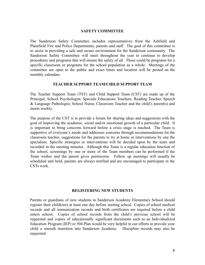#### **SAFETY COMMITTEE**

The Sanderson Safety Committee includes representatives from the Ashfield and Plainfield Fire and Police Departments, parents and staff. The goal of this committee is to assist in providing a safe and secure environment for the Sanderson community. The Sanderson Safety Committee will meet throughout the year to continue to develop procedures and programs that will ensure the safety of all. These could be programs for a specific classroom or programs for the school population as a whole. Meetings of the committee are open to the public and exact times and location will be posted on the monthly calendars.

#### **TEACHER SUPPORT TEAM/CHILD SUPPORT TEAM**

The Teacher Support Team (TST) and Child Support Team (CST) are made up of the Principal, School Psychologist, Specials Educations Teachers, Reading Teacher, Speech & Language Pathologist, School Nurse, Classroom Teacher and the child's parent(s) and meets weekly.

The purpose of the CST is to provide a forum for sharing ideas and suggestions with the goal of improving the academic, social and/or emotional growth of a particular child. It is important to bring concerns forward before a crisis stage is reached. The Team is supportive of everyone's needs and addresses concerns through recommendations for the classroom teacher, suggestions for the parents to try at home or interventions by one the specialists. Specific strategies or interventions will be decided upon by the team and recorded in the meeting minutes. Although this Team is a regular education function of the school, screenings by one or more of the Team members can be performed if the Team wishes and the parent gives permission. Follow up meetings will usually be scheduled and held, parents are always notified and are encouraged to participate in the CSTs work.

#### **REGISTERING NEW STUDENTS**

Parents or guardians of new students to Sanderson Academy Elementary School should register their child(ren) at least one day before starting school. Copies of school medical records and all immunization records and birth certificates are required before a child enters school. Copies of school records from the child's previous school will be requested and copies of educationally significant documents such as an Individualized Education Program (IEP) or 504 Plan would be very helpful in our efforts to provide your child a smooth transition into Sanderson Academy. Discipline records may also be requested.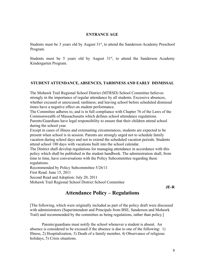#### **ENTRANCE AGE**

Students must be 3 years old by August  $31<sup>st</sup>$ , to attend the Sanderson Academy Preschool Program.

Students must be 5 years old by August  $31<sup>st</sup>$ , to attend the Sanderson Academy Kindergarten Program.

#### **STUDENT ATTENDANCE, ABSENCES, TARDINESS AND EARLY DISMISSAL**

The Mohawk Trail Regional School District (MTRSD) School Committee believes strongly in the importance of regular attendance by all students. Excessive absences, whether excused or unexcused; tardiness; and leaving school before scheduled dismissal times have a negative effect on student performance.

The Committee adheres to, and is in full compliance with Chapter 76 of the Laws of the Commonwealth of Massachusetts which defines school attendance regulations. Parents/Guardians have legal responsibility to ensure that their children attend school during the school year.

Except in cases of illness and extenuating circumstances, students are expected to be present when school is in session. Parents are strongly urged not to schedule family vacation during school days and not to extend the scheduled vacation periods. Students attend school 180 days with vacations built into the school calendar.

The District shall develop regulations for managing attendance in accordance with this policy which shall be published in the student handbook. The administration shall, from time to time, have conversations with the Policy Subcommittee regarding these regulations.

Recommended by Policy Subcommittee 5/26/11

First Read: June 15, 2011

Second Read and Adoption: July 20, 2011

Mohawk Trail Regional School District School Committee

**JE-R**

# **Attendance Policy – Regulations**

[The following, which were originally included as part of the policy draft were discussed with administrators (Superintendent and Principals from BSE, Sanderson and Mohawk Trail) and recommended by the committee as being regulations, rather than policy.]

Parents/guardians must notify the school whenever a student is absent. An absence is considered to be excused if the absence is due to one of the following: 1) Illness, 2) Hospitalization, 3) Death of a family member, 4) Observance of religious holidays, 5) Crisis situations.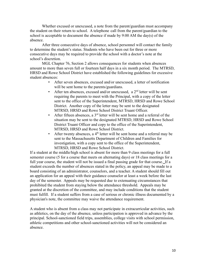Whether excused or unexcused, a note from the parent/guardian must accompany the student on their return to school. A telephone call from the parent/guardian to the school is acceptable to document the absence if made by 9:00 AM the day(s) of the absence.

After three consecutive days of absence, school personnel will contact the family to determine the student's status. Students who have been out for three or more consecutive days may be required to provide the school with a doctor's note at the school's discretion.

MGL Chapter 76, Section 2 allows consequences for students when absences amount to more than seven full or fourteen half days in a six month period. The MTRSD, HRSD and Rowe School District have established the following guidelines for excessive student absences:

- After seven absences, excused and/or unexcused, a letter of notification will be sent home to the parents/guardians.
- After ten absences, excused and/or unexcused, a  $2<sup>nd</sup>$  letter will be sent requiring the parents to meet with the Principal, with a copy of the letter sent to the office of the Superintendent, MTRSD, HRSD and Rowe School District. Another copy of the letter may be sent to the designated MTRSD, HRSD and Rowe School District Truant Officer.
- After fifteen absences, a  $3<sup>rd</sup>$  letter will be sent home and a referral of the situation may be sent to the designated MTRSD, HRSD and Rowe School District Truant Officer and copy to the office of the Superintendent, MTRSD, HRSD and Rowe School District.
- After twenty absences, a 4<sup>th</sup> letter will be sent home and a referral may be sent to the Massachusetts Department of Children and Families for investigation, with a copy sent to the office of the Superintendent, MTRSD, HRSD and Rowe School District.

If a student at the middle/high school is absent for more than 9 class meetings for a full semester course (5 for a course that meets on alternating days) or 18 class meetings for a full year course, the student will not be issued a final passing grade for that course. If a student exceeds the number of absences stated in the policy, an appeal may be made to a board consisting of an administrator, counselors, and a teacher. A student should fill out an application for an appeal with their guidance counselor at least a week before the last day of the semester. Appeals may be requested due to extenuating circumstances that prohibited the student from staying below the attendance threshold. Appeals may be granted at the discretion of the committee, and may include conditions that the student must fulfill. If a student suffers from a case of serious or chronic illness documented by a physician's note, the committee may waive the attendance requirement.

A student who is absent from a class may not participate in extracurricular activities, such as athletics, on the day of the absence, unless participation is approved in advance by the principal. School-sanctioned field trips, assemblies, college visits with school permission, athletic competitions and other school-sanctioned activities will not be considered an absence.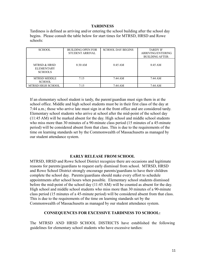#### **TARDINESS**

Tardiness is defined as arriving and/or entering the school building after the school day begins. Please consult the table below for start times for MTRSD, HRSD and Rowe schools:

| <b>SCHOOL</b>                                                  | <b>BUILDING OPEN FOR</b><br><b>STUDENT ARRIVAL</b> | <b>SCHOOL DAY BEGINS</b> | <b>TARDY IF</b><br>ARRIVING/ENTERING<br><b>BUILDING AFTER:</b> |
|----------------------------------------------------------------|----------------------------------------------------|--------------------------|----------------------------------------------------------------|
| <b>MTRSD &amp; HRSD</b><br><b>ELEMENTARY</b><br><b>SCHOOLS</b> | 8:30 AM                                            | 8:45AM                   | 8:45AM                                                         |
| <b>MTRSD MIDDLE</b><br><b>SCHOOL</b>                           | 7:15                                               | $7:44 \text{ AM}$        | $7:44 \text{ AM}$                                              |
| MTRSD HIGH SCHOOL                                              | 7:15                                               | 7:44 AM                  | 7:44 AM                                                        |

If an elementary school student is tardy, the parent/guardian must sign them in at the school office. Middle and high school students must be in their first class of the day at 7:44 a.m.; those who arrive late must sign in at the front office and are considered tardy. Elementary school students who arrive at school after the mid-point of the school day (11:45 AM) will be marked absent for the day. High school and middle school students who miss more than 30 minutes of a 90-minute class period (15 minutes of a 45-minute period) will be considered absent from that class. This is due to the requirements of the time on learning standards set by the Commonwealth of Massachusetts as managed by our student attendance system.

#### **EARLY RELEASE FROM SCHOOL**

MTRSD, HRSD and Rowe School District recognize there are occasions and legitimate reasons for parents/guardians to request early dismissal from school. MTRSD, HRSD and Rowe School District strongly encourage parents/guardians to have their children complete the school day. Parents/guardians should make every effort to schedule appointments after school hours when possible. Elementary school students dismissed before the mid-point of the school day (11:45 AM) will be counted as absent for the day. High school and middle school students who miss more than 30 minutes of a 90-minute class period (15 minutes of a 45-minute period) will be considered absent from that class. This is due to the requirements of the time on learning standards set by the Commonwealth of Massachusetts as managed by our student attendance system.

#### **CONSEQUENCES FOR EXCESSIVE TARDINESS TO SCHOOL:**

The MTRSD AND HRSD SCHOOL DISTRICTS have established the following guidelines for elementary school students who have excessive tardies: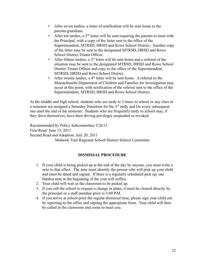- After seven tardies, a letter of notification will be sent home to the parents/guardians.
- After ten tardies, a  $2<sup>nd</sup>$  letter will be sent requiring the parents to meet with the Principal, with a copy of the letter sent to the office of the Superintendent, MTRSD, HRSD and Rowe School District. Another copy of the letter may be sent to the designated MTRSD, HRSD and Rowe School District Truant Officer.
- After fifteen tardies, a  $3<sup>rd</sup>$  letter will be sent home and a referral of the situation may be sent to the designated MTRSD, HRSD and Rowe School District Truant Officer and copy to the office of the Superintendent, MTRSD, HRSD and Rowe School District.
- After twenty tardies, a  $4<sup>th</sup>$  letter will be sent home. A referral to the Massachusetts Department of Children and Families for investigation may occur at this point, with notification of the referral sent to the office of the Superintendent, MTRSD, HRSD and Rowe School District.

At the middle and high school, students who are tardy to 3 times to school or any class in a semester are assigned a Saturday Detention for the  $3<sup>rd</sup>$  tardy and for every subsequent one until the end of the semester. Students who are frequently tardy to school may, if they drive themselves, have their driving privileges suspended or revoked.

Recommended by Policy Subcommittee 5/26/11 First Read: June 15, 2011 Second Read and Adoption: July 20, 2011 Mohawk Trail Regional School District School Committee

# **DISMISSAL PROCEDURE**

- 1. If your child is being picked up at the end of the day by anyone, you must write a note to that effect. The note must identify the person who will pick up your child and must be dated and signed. If there is a regularly scheduled pick up, one blanket note at the beginning of the year will suffice.
- 2. Your child will wait in the classroom to be picked up.
- 3. If you call the school to request a change in plans, it must be cleared directly by the principal or a staff member prior to 3:00 P.M.
- 4. If you arrive at school prior the regular dismissal time, please sign your child out by reporting to the office and signing the appropriate form. Your child will then be called in the classroom and come to meet you.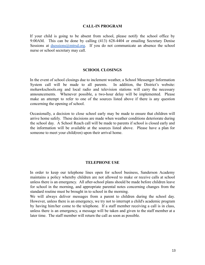#### **CALL-IN PROGRAM**

If your child is going to be absent from school, please notify the school office by 9:00AM. This can be done by calling (413) 628-4404 or emailing Secretary Denise Sessions at  $d$ sessions@mtrsd.org. If you do not communicate an absence the school nurse or school secretary may call.

#### **SCHOOL CLOSINGS**

In the event of school closings due to inclement weather, a School Messenger Information System call will be made to all parents. In addition, the District's website: mohawkschools.org and local radio and television stations will carry the necessary announcements. Whenever possible, a two-hour delay will be implemented. Please make an attempt to refer to one of the sources listed above if there is any question concerning the opening of school.

Occasionally, a decision to close school early may be made to ensure that children will arrive home safely. These decisions are made when weather conditions deteriorate during the school day. A School Reach call will be made to parents if school is closed early and the information will be available at the sources listed above. Please have a plan for someone to meet your child(ren) upon their arrival home.

#### **TELEPHONE USE**

In order to keep our telephone lines open for school business, Sanderson Academy maintains a policy whereby children are not allowed to make or receive calls at school unless there is an emergency. All after-school plans should be made before children leave for school in the morning, and appropriate parental notes concerning changes from the standard routine must be brought in to school in the morning.

We will always deliver messages from a parent to children during the school day. However, unless there is an emergency, we try not to interrupt a child's academic program by having him/her come to the telephone. If a staff member receiving a call is in class, unless there is an emergency, a message will be taken and given to the staff member at a later time. The staff member will return the call as soon as possible.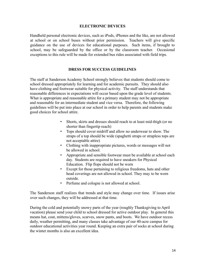#### **ELECTRONIC DEVICES**

Handheld personal electronic devices, such as iPods, iPhones and the like, are not allowed at school or on school buses without prior permission. Teachers will give specific guidance on the use of devices for educational purposes. Such items, if brought to school, may be safeguarded by the office or by the classroom teacher. Occasional exceptions to this rule will be made for extended bus rides associated with field trips.

#### **DRESS FOR SUCCESS GUIDELINES**

The staff at Sanderson Academy School strongly believes that students should come to school dressed appropriately for learning and for academic pursuits. They should also have clothing and footwear suitable for physical activity. The staff understands that reasonable differences in expectations will occur based upon the grade level of students. What is appropriate and reasonable attire for a primary student may not be appropriate and reasonable for an intermediate student and vice versa. Therefore, the following guidelines will be put into place at our school in order to help parents and students make good choices for school attire.

- Shorts, skirts and dresses should reach to at least mid-thigh (or no shorter than fingertip reach)
- Tops should cover midriff and allow no underwear to show. The straps of a top should be wide (spaghetti straps or strapless tops are not acceptable attire)
- Clothing with inappropriate pictures, words or messages will not be allowed in school.
- Appropriate and sensible footwear must be available at school each day. Students are required to have sneakers for Physical Education. Flip flops should not be worn
- Except for those pertaining to religious freedoms, hats and other head coverings are not allowed in school. They may to be worn outside.
- Perfume and cologne is not allowed at school.

The Sanderson staff realizes that trends and style may change over time. If issues arise over such changes, they will be addressed at that time.

During the cold and potentially snowy parts of the year (roughly Thanksgiving to April vacation) please send your child to school dressed for active outdoor play. In general this means hat, coat, mittens/gloves, scarves, snow pants, and boots. We have outdoor recess daily, weather permitting, and many classes take advantage of our 40-acre campus for outdoor educational activities year round. Keeping an extra pair of socks at school during the winter months is also an excellent idea.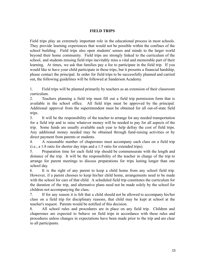# **FIELD TRIPS**

Field trips play an extremely important role in the educational process in most schools. They provide learning experiences that would not be possible within the confines of the school building. Field trips also open students' senses and minds to the larger world beyond their home community. Field trips are strongly linked to the curriculum of the school, and students missing field trips inevitably miss a vital and memorable part of their learning. At times, we ask that families pay a fee to participate in the field trip. If you would like to have your child participate in these trips, but it presents a financial hardship, please contact the principal. In order for field trips to be successfully planned and carried out, the following guidelines will be followed at Sanderson Academy.

1. Field trips will be planned primarily by teachers as an extension of their classroom curriculum.

2. Teachers planning a field trip must fill out a field trip permission form that is available in the school office. All field trips must be approved by the principal. Additional approval from the superintendent must be obtained for all out-of-state field trips.

3. It will be the responsibility of the teacher to arrange for any needed transportation for a field trip and to raise whatever money will be needed to pay for all aspects of the trip. Some funds are usually available each year to help defray the cost of field trips. Any additional money needed may be obtained through fund-raising activities or by direct payment from parents or students.

4. A reasonable number of chaperones must accompany each class on a field trip (i.e., a 1:8 ratio for shorter day trips and a 1:5 ratio for extended trips).

5. Preparation time for each field trip should be commensurate with the length and distance of the trip. It will be the responsibility of the teacher in charge of the trip to arrange for parent meetings to discuss preparations for trips lasting longer than one school day.

6. It is the right of any parent to keep a child home from any school field trip. However, if a parent chooses to keep his/her child home, arrangements need to be made with the school for care of that child. A scheduled field trip constitutes the curriculum for the duration of the trip, and alternative plans need not be made solely by the school for children not accompanying the class.

7. If for any reason it is felt that a child should not be allowed to accompany his/her class on a field trip for disciplinary reasons, that child may be kept at school at the teacher's request. Parents would be notified of this decision.

8. All school rules and procedures are in place on any field trip. Children and chaperones are expected to behave on field trips in accordance with these rules and procedures unless changes in expectations have been made prior to the trip and are clear to all participants.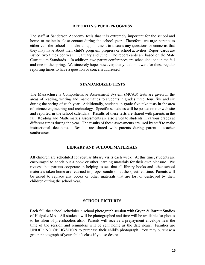#### **REPORTING PUPIL PROGRESS**

The staff at Sanderson Academy feels that it is extremely important for the school and home to maintain close contact during the school year. Therefore, we urge parents to either call the school or make an appointment to discuss any questions or concerns that they may have about their child's program, progress or school activities. Report cards are issued two times per year in January and June. The report cards are based on the State Curriculum Standards. In addition, two parent conferences are scheduled: one in the fall and one in the spring. We sincerely hope, however, that you do not wait for these regular reporting times to have a question or concern addressed.

#### **STANDARDIZED TESTS**

The Massachusetts Comprehensive Assessment System (MCAS) tests are given in the areas of reading, writing and mathematics to students in grades three, four, five and six during the spring of each year. Additionally, students in grade five take tests in the area of science engineering and technology. Specific schedules will be posted on our web site and reported in the school calendars. Results of these tests are shared with parents in the fall. Reading and Mathematics assessments are also given to students in various grades at different times during the year. The results of these assessments are used by staff to make instructional decisions. Results are shared with parents during parent – teacher conferences.

#### **LIBRARY AND SCHOOL MATERIALS**

All children are scheduled for regular library visits each week. At this time, students are encouraged to check out a book or other learning materials for their own pleasure. We request that parents cooperate in helping to see that all library books and other school materials taken home are returned in proper condition at the specified time. Parents will be asked to replace any books or other materials that are lost or destroyed by their children during the school year.

#### **SCHOOL PICTURES**

Each fall the school schedules a school photograph session with Grynn & Barrett Studios of Holyoke MA. All students will be photographed and time will be available for photos to be taken of preschoolers also. Parents will receive a prepayment envelope near the time of the session and reminders will be sent home as the date nears. Families are UNDER NO OBLIGATION to purchase their child's photograph. You may purchase a group photograph of your child's class if you so desire.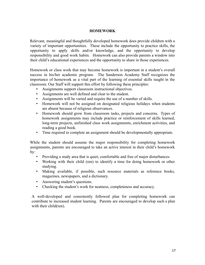#### **HOMEWORK**

Relevant, meaningful and thoughtfully developed homework does provide children with a variety of important opportunities. These include the opportunity to practice skills, the opportunity to apply skills and/or knowledge, and the opportunity to develop responsibility and good work habits. Homework can also provide parents a window into their child's educational experiences and the opportunity to share in those experiences.

Homework or class work that may become homework is important in a student's overall success in his/her academic program. The Sanderson Academy Staff recognizes the importance of homework as a vital part of the learning of essential skills taught in the classroom. Our Staff will support this effort by following these principles:

- Assignments support classroom instructional objectives.
- Assignments are well defined and clear to the student.
- Assignments will be varied and require the use of a number of skills.
- Homework will not be assigned on designated religious holidays when students are absent because of religious observances.
- Homework should grow from classroom tasks, projects and concerns. Types of homework assignments may include practice or reinforcement of skills learned, long-term projects, unfinished class work assignments, enrichment activities, and reading a good book.
- Time required to complete an assignment should be developmentally appropriate.

While the student should assume the major responsibility for completing homework assignments, parents are encouraged to take an active interest in their child's homework by:

- Providing a study area that is quiet, comfortable and free of major disturbances.
- Working with their child (ren) to identify a time for doing homework or other studying.
- Making available, if possible, such resource materials as reference books, magazines, newspapers, and a dictionary.
- Answering student's questions.
- Checking the student's work for neatness, completeness and accuracy.

A well-developed and consistently followed plan for completing homework can contribute to increased student learning. Parents are encouraged to develop such a plan with their child(ren).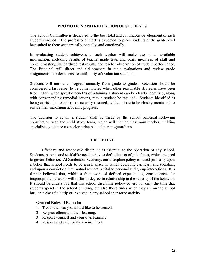#### **PROMOTION AND RETENTION OF STUDENTS**

The School Committee is dedicated to the best total and continuous development of each student enrolled. The professional staff is expected to place students at the grade level best suited to them academically, socially, and emotionally.

In evaluating student achievement, each teacher will make use of all available information, including results of teacher-made tests and other measures of skill and content mastery, standardized test results, and teacher observation of student performance. The Principal will direct and aid teachers in their evaluations and review grade assignments in order to ensure uniformity of evaluation standards.

Students will normally progress annually from grade to grade. Retention should be considered a last resort to be contemplated when other reasonable strategies have been tried. Only when specific benefits of retaining a student can be clearly identified, along with corresponding remedial actions, may a student be retained. Students identified as being at risk for retention, or actually retained, will continue to be closely monitored to ensure their maximum academic progress.

The decision to retain a student shall be made by the school principal following consultation with the child study team, which will include classroom teacher, building specialists, guidance counselor, principal and parents/guardians.

#### **DISCIPLINE**

Effective and responsive discipline is essential to the operation of any school. Students, parents and staff alike need to have a definitive set of guidelines, which are used to govern behavior. At Sanderson Academy, our discipline policy is based primarily upon a belief that school needs to be a safe place in which everyone can learn and socialize, and upon a conviction that mutual respect is vital to personal and group interactions. It is further believed that, within a framework of defined expectations, consequences for inappropriate behavior will differ in degree in relationship to the severity of the behavior. It should be understood that this school discipline policy covers not only the time that students spend in the school building, but also those times when they are on the school bus, on a class field trip or involved in any school sponsored activity.

#### **General Rules of Behavior**

- 1. Treat others as you would like to be treated.
- 2. Respect others and their learning.
- 3. Respect yourself and your own learning.
- 4. Respect and care for the environment.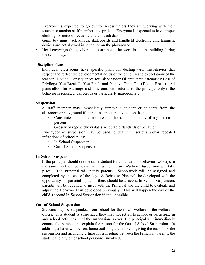- Everyone is expected to go out for recess unless they are working with their teacher or another staff member on a project. Everyone is expected to have proper clothing for outdoor recess with them each day.
- Gum, toy guns, jack knives, skateboards and handheld electronic entertainment devices are not allowed in school or on the playground.
- Head coverings (hats, visors, etc.) are not to be worn inside the building during the school day.

#### **Discipline Plans**

Individual classrooms have specific plans for dealing with misbehavior that respect and reflect the developmental needs of the children and expectations of the teacher. Logical Consequences for misbehavior fall into three categories: Loss of Privilege, You Break It, You Fix It and Positive Time-Out (Take a Break). All plans allow for warnings and time outs with referral to the principal only if the behavior is repeated, dangerous or particularly inappropriate.

#### **Suspension**

A staff member may immediately remove a student or students from the classroom or playground if there is a serious rule violation that:

- Constitutes an immediate threat to the health and safety of any person or persons.
- Grossly or repeatedly violates acceptable standards of behavior.

Two types of suspension may be used to deal with serious and/or repeated infractions of school rules:

- In-School Suspension
- Out-of-School Suspension.

# **In-School Suspension**

If the principal should see the same student for continued misbehavior two days in the same week or four days within a month, an In-School Suspension will take place. The Principal will notify parents. Schoolwork will be assigned and completed by the end of the day. A Behavior Plan will be developed with the opportunity for parental input. If there should be a second In-School Suspension, parents will be required to meet with the Principal and the child to evaluate and adjust the Behavior Plan developed previously. This will happen the day of the child's second In-School Suspension if at all possible.

#### **Out-of-School Suspension**

Students may be suspended from school for their own welfare or the welfare of others. If a student is suspended they may not return to school or participate in any school activities until the suspension is over. The principal will immediately contact the parents and explain the reason for the Out-of-School Suspension. In addition, a letter will be sent home outlining the problem, giving the reason for the suspension and arranging a time for a meeting between the Principal, parents, the student and any other school personnel involved.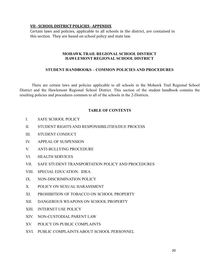#### **VII - SCHOOL DISTRICT POLICIES - APPENDIX**

Certain laws and policies, applicable to all schools in the district, are contained in this section. They are based on school policy and state law.

#### **MOHAWK TRAIL REGIONAL SCHOOL DISTRICT HAWLEMONT REGIONAL SCHOOL DISTRICT**

#### **STUDENT HANDBOOKS – COMMON POLICIES AND PROCEDURES**

There are certain laws and policies applicable to all schools in the Mohawk Trail Regional School District and the Hawlemont Regional School District. This section of the student handbook contains the resulting policies and procedures common to all of the schools in the 2-Districts.

#### **TABLE OF CONTENTS**

- I. SAFE SCHOOL POLICY
- II. STUDENT RIGHTS AND RESPONSIBILITIES/DUE PROCESS
- III. STUDENT CONDUCT
- IV. APPEAL OF SUSPENSION
- V. ANTI-BULLYING PROCEDURE
- VI. HEALTH SERVICES
- VII. SAFE STUDENT TRANSPORTATION POLICY AND PROCEDURES
- VIII. SPECIAL EDUCATION: IDEA
- IX. NON-DISCRIMINATION POLICY
- X. POLICY ON SEXUAL HARASSMENT
- XI. PROHIBITION OF TOBACCO ON SCHOOL PROPERTY
- XII. DANGEROUS WEAPONS ON SCHOOL PROPERTY
- XIII. INTERNET USE POLICY
- XIV. NON-CUSTODIAL PARENT LAW
- XV. POLICY ON PUBLIC COMPLAINTS
- XVI. PUBLIC COMPLAINTS ABOUT SCHOOL PERSONNEL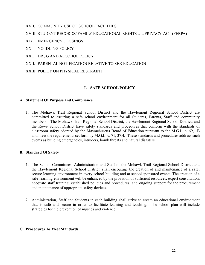# XVII. COMMUNITY USE OF SCHOOL FACILITIES

# XVIII. STUDENT RECORDS/ FAMILY EDUCATIONAL RIGHTS and PRIVACY ACT (FERPA)

- XIX. EMERGENCY CLOSINGS
- XX. NO IDLING POLICY
- XXI. DRUG AND ALCOHOL POLICY
- XXII. PARENTAL NOTIFICATION RELATIVE TO SEX EDUCATION
- XXIII. POLICY ON PHYSICAL RESTRAINT

# **I. SAFE SCHOOL POLICY**

#### **A. Statement Of Purpose and Compliance**

1. The Mohawk Trail Regional School District and the Hawlemont Regional School District are committed to assuring a safe school environment for all Students, Parents, Staff and community members. The Mohawk Trail Regional School District, the Hawlemont Regional School District, and the Rowe School District have safety standards and procedures that conform with the standards of classroom safety adopted by the Massachusetts Board of Education pursuant to the M.G.L. c. 69, 1B and meet the requirements set forth by M.G.L. c. 71, 37H. These standards and procedures address such events as building emergencies, intruders, bomb threats and natural disasters.

# **B. Standard Of Safety**

- 1. The School Committees, Administration and Staff of the Mohawk Trail Regional School District and the Hawlemont Regional School District, shall encourage the creation of and maintenance of a safe, secure learning environment in every school building and at school sponsored events. The creation of a safe learning environment will be enhanced by the provision of sufficient resources, expert consultation, adequate staff training, established policies and procedures, and ongoing support for the procurement and maintenance of appropriate safety devices.
- 2. Administration, Staff and Students in each building shall strive to create an educational environment that is safe and secure in order to facilitate learning and teaching. The school plan will include strategies for the prevention of injuries and violence.

# **C. Procedures To Meet Standards**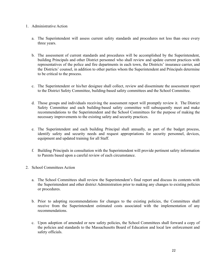#### 1. Administrative Action

- a. The Superintendent will assess current safety standards and procedures not less than once every three years.
- b. The assessment of current standards and procedures will be accomplished by the Superintendent, building Principals and other District personnel who shall review and update current practices with representatives of the police and fire departments in each town, the Districts' insurance carrier, and the Districts' counsel, in addition to other parties whom the Superintendent and Principals determine to be critical to the process.
- c. The Superintendent or his/her designee shall collect, review and disseminate the assessment report to the District Safety Committee, building-based safety committees and the School Committee.
- d. Those groups and individuals receiving the assessment report will promptly review it. The District Safety Committee and each building-based safety committee will subsequently meet and make recommendations to the Superintendent and the School Committees for the purpose of making the necessary improvements to the existing safety and security practices.
- e. The Superintendent and each building Principal shall annually, as part of the budget process, identify safety and security needs and request appropriations for security personnel, devices, equipment and updated training for all Staff.
- f. Building Principals in consultation with the Superintendent will provide pertinent safety information to Parents based upon a careful review of each circumstance.
- 2. School Committees Action
	- a. The School Committees shall review the Superintendent's final report and discuss its contents with the Superintendent and other district Administration prior to making any changes to existing policies or procedures.
	- b. Prior to adopting recommendations for changes to the existing policies, the Committees shall receive from the Superintendent estimated costs associated with the implementation of any recommendations.
	- c. Upon adoption of amended or new safety policies, the School Committees shall forward a copy of the policies and standards to the Massachusetts Board of Education and local law enforcement and safety officials.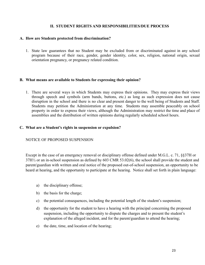#### **II. STUDENT RIGHTS AND RESPONSIBILITIES/DUE PROCESS**

#### **A. How are Students protected from discrimination?**

1. State law guarantees that no Student may be excluded from or discriminated against in any school program because of their race, gender, gender identity, color, sex, religion, national origin, sexual orientation pregnancy, or pregnancy related condition.

#### **B. What means are available to Students for expressing their opinion?**

1. There are several ways in which Students may express their opinions. They may express their views through speech and symbols (arm bands, buttons, etc.) as long as such expression does not cause disruption in the school and there is no clear and present danger to the well being of Students and Staff. Students may petition the Administration at any time. Students may assemble peaceably on school property in order to express their views, although the Administration may restrict the time and place of assemblies and the distribution of written opinions during regularly scheduled school hours.

#### **C. What are a Student's rights in suspension or expulsion?**

#### NOTICE OF PROPOSED SUSPENSION

Except in the case of an emergency removal or disciplinary offense defined under M.G.L. c. 71, §§37H or 37H½ or an in-school suspension as defined by 603 CMR 53.02(6), the school shall provide the student and parent/guardian with written and oral notice of the proposed out-of-school suspension, an opportunity to be heard at hearing, and the opportunity to participate at the hearing. Notice shall set forth in plain language:

- a) the disciplinary offense;
- b) the basis for the charge;
- c) the potential consequences, including the potential length of the student's suspension;
- d) the opportunity for the student to have a hearing with the principal concerning the proposed suspension, including the opportunity to dispute the charges and to present the student's explanation of the alleged incident, and for the parent/guardian to attend the hearing;
- e) the date, time, and location of the hearing;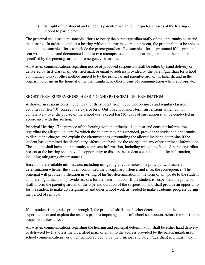f) the right of the student and student's parent/guardian to interpreter services at the hearing if needed to participate;

The principal shall make reasonable efforts to notify the parent/guardian orally of the opportunity to attend the hearing. In order to conduct a hearing without the parent/guardian present, the principal must be able to document reasonable efforts to include the parent/guardian. Reasonable effort is presumed if the principal sent written notice and documented at least two attempts to contact the parent/guardian in the manner specified by the parent/guardian for emergency situations.

All written communications regarding notice of proposed suspension shall be either by hand delivery or delivered by first-class mail, certified mail, or email to address provided by the parent/guardian for school communications (or other method agreed to by the principal and parent/guardian) in English, and in the primary language in the home if other than English, or other means of communication where appropriate.

# SHORT-TERM SUSPENSIONS: HEARING AND PRINCIPAL DETERMINATION

A short-term suspension is the removal of the student from the school premises and regular classroom activities for ten (10) consecutive days or less. Out-of-school short-term suspensions which do not cumulatively over the course of the school year exceed ten (10) days of suspension shall be conducted in accordance with this section.

Principal Hearing. The purpose of the hearing with the principal is to hear and consider information regarding the alleged incident for which the student may be suspended, provide the student an opportunity to dispute the charges and explain the circumstances surrounding the alleged incident, determine if the student has committed the disciplinary offense, the basis for the charge, and any other pertinent information. The student shall have an opportunity to present information, including mitigating facts. A parent/guardian present at the hearing shall have the opportunity to discuss the student's conduct and offer information, including mitigating circumstances.

Based on the available information, including mitigating circumstances, the principal will make a determination whether the student committed the disciplinary offense, and if so, the consequence. The principal will provide notification in writing of his/her determination in the form of an update to the student and parent/guardian, and provide reasons for the determination. If the student is suspended, the principal shall inform the parent/guardian of the type and duration of the suspension, and shall provide an opportunity for the student to make up assignments and other school work as needed to make academic progress during the period of removal.

If the student is in grades pre-k through 3, the principal shall send his/her determination to the superintendent and explain the reasons prior to imposing an out-of-school suspension, before the short-term suspension takes effect.

All written communications regarding the hearing and principal determination shall be either hand delivery or delivered by first-class mail, certified mail, or email to the address provided by the parent/guardian for school communications (or other method agreed to by the principal and parent/guardian) in English, and in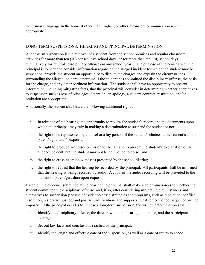the primary language in the home if other than English, or other means of communication where appropriate.

# LONG-TERM SUSPENSIONS: HEARING AND PRINCIPAL DETERMINATION

A long-term suspension is the removal of a student from the school premises and regular classroom activities for more than ten (10) consecutive school days, or for more than ten (10) school days cumulatively for multiple disciplinary offenses in any school year. The purpose of the hearing with the principal is to hear and consider information regarding the alleged incident for which the student may be suspended, provide the student an opportunity to dispute the charges and explain the circumstances surrounding the alleged incident, determine if the student has committed the disciplinary offense, the basis for the charge, and any other pertinent information. The student shall have an opportunity to present information, including mitigating facts, that the principal will consider in determining whether alternatives to suspension such as loss of privileges, detention, an apology, a student contract, restitution, and/or probation are appropriate.

Additionally, the student shall have the following additional rights:

- i. In advance of the hearing, the opportunity to review the student's record and the documents upon which the principal may rely in making a determination to suspend the student or not;
- ii. the right to be represented by counsel or a lay person of the student's choice, at the student's and or parent's/guardian's expense;
- iii. the right to produce witnesses on his or her behalf and to present the student's explanation of the alleged incident, but the student may not be compelled to do so; and
- iv. the right to cross-examine witnesses presented by the school district;
- v. the right to request that the hearing be recorded by the principal. All participants shall be informed that the hearing is being recorded by audio. A copy of the audio recording will be provided to the student or parent/guardian upon request.

Based on the evidence submitted at the hearing the principal shall make a determination as to whether the student committed the disciplinary offense, and, if so, after considering mitigating circumstances and alternatives to suspension (the use of evidence-based strategies and programs, such as mediation, conflict resolution, restorative justice, and positive interventions and supports) what remedy or consequence will be imposed. If the principal decides to impose a long-term suspension, the written determination shall:

- i. Identify the disciplinary offense, the date on which the hearing took place, and the participants at the hearing;
- ii. Set out key facts and conclusions reached by the principal;
- iii. Identify the length and effective date of the suspension, as well as a date of return to school;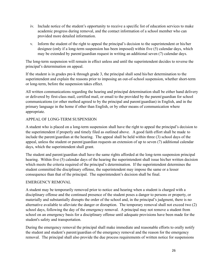- iv. Include notice of the student's opportunity to receive a specific list of education services to make academic progress during removal, and the contact information of a school member who can provided more detailed information.
- v. Inform the student of the right to appeal the principal's decision to the superintendent or his/her designee (only if a long-term suspension has been imposed) within five (5) calendar days, which may be extended by parent/guardian request in writing an additional seven (7) calendar days.

The long-term suspension will remain in effect unless and until the superintendent decides to reverse the principal's determination on appeal.

If the student is in grades pre-k through grade 3, the principal shall send his/her determination to the superintendent and explain the reasons prior to imposing an out-of-school suspension, whether short-term or long-term, before the suspension takes effect.

All written communications regarding the hearing and principal determination shall be either hand delivery or delivered by first-class mail, certified mail, or email to the provided by the parent/guardian for school communications (or other method agreed to by the principal and parent/guardian) in English, and in the primary language in the home if other than English, or by other means of communication where appropriate.

# APPEAL OF LONG-TERM SUSPENSION

A student who is placed on a long-term suspension shall have the right to appeal the principal's decision to the superintendent if properly and timely filed as outlined above. A good faith effort shall be made to include the parent/guardian at the hearing. The appeal shall be held within three (3) school days of the appeal, unless the student or parent/guardian requests an extension of up to seven (7) additional calendar days, which the superintendent shall grant.

The student and parent/guardian shall have the same rights afforded at the long-term suspension principal hearing. Within five (5) calendar days of the hearing the superintendent shall issue his/her written decision which meets the criteria required of the principal's determination. If the superintendent determines the student committed the disciplinary offense, the superintendent may impose the same or a lesser consequence than that of the principal. The superintendent's decision shall be final.

# EMERGENCY REMOVAL

A student may be temporarily removed prior to notice and hearing when a student is charged with a disciplinary offense and the continued presence of the student poses a danger to persons or property, or materially and substantially disrupts the order of the school and, in the principal's judgment, there is no alternative available to alleviate the danger or disruption. The temporary removal shall not exceed two (2) school days, following the day of the emergency removal. A principal may not remove a student from school on an emergency basis for a disciplinary offense until adequate provisions have been made for the student's safety and transportation.

During the emergency removal the principal shall make immediate and reasonable efforts to orally notify the student and student's parent/guardian of the emergency removal and the reason for the emergency removal. The principal shall also provide the due process requirements of written notice for suspensions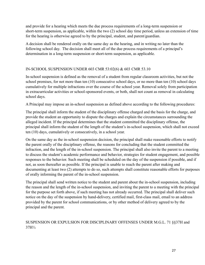and provide for a hearing which meets the due process requirements of a long-term suspension or short-term suspension, as applicable, within the two (2) school day time period, unless an extension of time for the hearing is otherwise agreed to by the principal, student, and parent/guardian.

A decision shall be rendered orally on the same day as the hearing, and in writing no later than the following school day. The decision shall meet all of the due process requirements of a principal's determination in a long-term suspension or short-term suspension, as applicable.

# IN-SCHOOL SUSPENSION UNDER 603 CMR 53:02(6) & 603 CMR 53.10

In-school suspension is defined as the removal of a student from regular classroom activities, but not the school premises, for not more than ten (10) consecutive school days, or no more than ten (10) school days cumulatively for multiple infractions over the course of the school year. Removal solely from participation in extracurricular activities or school-sponsored events, or both, shall not count as removal in calculating school days.

A Principal may impose an in-school suspension as defined above according to the following procedures:

The principal shall inform the student of the disciplinary offense charged and the basis for the charge, and provide the student an opportunity to dispute the charges and explain the circumstances surrounding the alleged incident. If the principal determines that the student committed the disciplinary offense, the principal shall inform the student of the length of the student's in-school suspension, which shall not exceed ten (10) days, cumulatively or consecutively, in a school year.

On the same day as the in-school suspension decision, the principal shall make reasonable efforts to notify the parent orally of the disciplinary offense, the reasons for concluding that the student committed the infraction, and the length of the in-school suspension. The principal shall also invite the parent to a meeting to discuss the student's academic performance and behavior, strategies for student engagement, and possible responses to the behavior. Such meeting shall be scheduled on the day of the suspension if possible, and if not, as soon thereafter as possible. If the principal is unable to reach the parent after making and documenting at least two (2) attempts to do so, such attempts shall constitute reasonable efforts for purposes of orally informing the parent of the in-school suspension.

The principal shall send written notice to the student and parent about the in-school suspension, including the reason and the length of the in-school suspension, and inviting the parent to a meeting with the principal for the purpose set forth above, if such meeting has not already occurred. The principal shall deliver such notice on the day of the suspension by hand-delivery, certified mail, first-class mail, email to an address provided by the parent for school communications, or by other method of delivery agreed to by the principal and the parent.

# SUSPENSION OR EXPULSION FOR DISCIPLINARY OFFENSES UNDER M.G.L. 71 §§37H and 37H½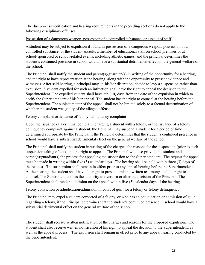The due process notification and hearing requirements in the preceding sections do not apply to the following disciplinary offenses:

# Possession of a dangerous weapon, possession of a controlled substance, or assault of staff

A student may be subject to expulsion if found in possession of a dangerous weapon, possession of a controlled substance, or the student assaults a member of educational staff on school premises or at school-sponsored or school-related events, including athletic games, and the principal determines the student's continued presence in school would have a substantial detrimental effect on the general welfare of the school.

The Principal shall notify the student and parent(s)/guardian(s) in writing of the opportunity for a hearing, and the right to have representation at the hearing, along with the opportunity to present evidence and witnesses. After said hearing, a principal may, in his/her discretion, decide to levy a suspension rather than expulsion. A student expelled for such an infraction shall have the right to appeal the decision to the Superintendent. The expelled student shall have ten (10) days from the date of the expulsion in which to notify the Superintendent of his/her appeal. The student has the right to counsel at the hearing before the Superintendent. The subject matter of the appeal shall not be limited solely to a factual determination of whether the student was guilty of the alleged offense.

# Felony complaint or issuance of felony delinquency complaint

Upon the issuance of a criminal complaint charging a student with a felony, or the issuance of a felony delinquency complaint against a student, the Principal may suspend a student for a period of time determined appropriate by the Principal if the Principal determines that the student's continued presence in school would have a substantial detrimental effect on the general welfare of the school.

The Principal shall notify the student in writing of the charges, the reasons for the suspension (prior to such suspension taking effect), and the right to appeal. The Principal will also provide the student and parent(s)/guardian(s) the process for appealing the suspension to the Superintendent. The request for appeal must be made in writing within five (5) calendar days. The hearing shall be held within three (3) days of the request. The suspension shall remain in effect prior to any appeal hearing before the Superintendent. At the hearing, the student shall have the right to present oral and written testimony, and the right to counsel. The Superintendent has the authority to overturn or alter the decision of the Principal. The Superintendent shall render a decision on the appeal within five (5) calendar days of the hearing.

# Felony conviction or adjudication/admission in court of guilt for a felony or felony delinquency

The Principal may expel a student convicted of a felony, or who has an adjudication or admission of guilt regarding a felony, if the Principal determines that the student's continued presence in school would have a substantial detrimental effect on the general welfare of the school.

The student shall receive written notification of the charges and reasons for the proposed expulsion. The student shall also receive written notification of his right to appeal the decision to the Superintendent, as well as the appeal process. The expulsion shall remain in effect prior to any appeal hearing conducted by the Superintendent.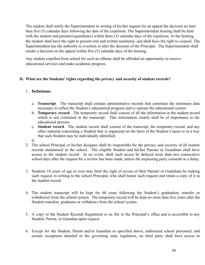The student shall notify the Superintendent in writing of his/her request for an appeal the decision no later than five (5) calendar days following the date of the expulsion. The Superintendent hearing shall be held with the student and parent(s)/guardian(s) within three (3) calendar days of the expulsion. At the hearing, the student shall have the right to present oral and written testimony, and shall have the right to counsel. The Superintendent has the authority to overturn or alter the decision of the Principal. The Superintendent shall render a decision on the appeal within five (5) calendar days of the hearing.

Any student expelled from school for such an offense shall be afforded an opportunity to receive educational services and make academic progress.

# **D. What are the Students' rights regarding the privacy and security of student records?**

# 1. **Definitions**:

- a. **Transcript**. The transcript shall contain administrative records that constitute the minimum data necessary to reflect the Student's educational progress and to operate the educational system
- b. **Temporary record**. The temporary record shall consist of all the information in the student record which is not contained in the transcript. This information clearly shall be of importance to the educational process.
- c. **Student record**. The student record shall consist of the transcript, the temporary record, and any other material concerning a Student that is organized on the basis of the Student's name or in a way that such Student may be individually identified.
- d.
- 2. The school Principal or his/her designee shall be responsible for the privacy and security of all student records maintained in the school. The eligible Student and his/her Parents or Guardians shall have access to the student record. In no event, shall such access be delayed more than two consecutive school days after the request for a review has been made, unless the requesting party consents to a delay.
- 3. Students 18 years of age or over may limit the right of access of their Parents or Guardians by making such request in writing to the school Principal, who shall honor such request and retain a copy of it in the student record.
- 4. The student transcript will be kept for 60 years following the Student's graduation, transfer or withdrawal from the school system. The temporary record will be kept no more than five years after the Student transfers, graduates or withdraws from the school system.
- 5. A copy of the Student Records Regulation is on file in the Principal's office and is accessible to any Student, Parent, or Guardian upon request.
- 6. Except for the Student, Parent and/or Guardian as specified above, authorized school personnel, and certain exceptions detailed in the governing state regulation, no third party shall have access to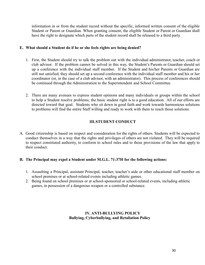information in or from the student record without the specific, informed written consent of the eligible Student or Parent or Guardian. When granting consent, the eligible Student or Parent or Guardian shall have the right to designate which parts of the student record shall be released to a third party.

# **E. What should a Student do if he or she feels rights are being denied?**

- 1. First, the Student should try to talk the problem out with the individual administrator, teacher, coach or club advisor. If the problem cannot be solved in this way, the Student's Parents or Guardian should set up a conference with the individual staff member. If the Student and his/her Parents or Guardian are still not satisfied, they should set up a second conference with the individual staff member and his or her coordinator (or, in the case of a club advisor, with an administrator). This process of conferences should be continued through the Administration to the Superintendent and School Committee.
- 2. There are many avenues to express student opinions and many individuals or groups within the school to help a Student resolve problems; the basic student right is to a good education. All of our efforts are directed toward that goal. Students who sit down in good faith and work towards harmonious solutions to problems will find the entire Staff willing and ready to work with them to reach those solutions.

# **III.STUDENT CONDUCT**

A. Good citizenship is based on respect and consideration for the rights of others. Students will be expected to conduct themselves in a way that the rights and privileges of others are not violated. They will be required to respect constituted authority, to conform to school rules and to those provisions of the law that apply to their conduct.

# **B. The Principal may expel a Student under M.G.L. 71:37H for the following actions:**

- 1. Assaulting a Principal, assistant Principal, teacher, teacher's aide or other educational staff member on school premises or at school-related events including athletic games.
- 2. Being found on school premises or at school-sponsored or school-related events, including athletic games, in possession of a dangerous weapon or a controlled substance.

# **IV. ANTI-BULLYING POLICY Bullying, Cyberbullying, and Retaliation Policy**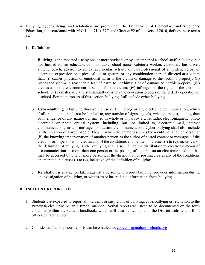A. Bullying, cyberbullying, and retaliation are prohibited. The Department of Elementary and Secondary Education, in accordance with M.G.L. c. 71, § 37O and Chapter 92 of the Acts of 2010, defines these terms as:

# **1. Definitions:**

- a. **Bullying** is the repeated use by one or more students or by a member of a school staff including, but not limited to, an educator, administrator, school nurse, cafeteria worker, custodian, bus driver, athletic coach, advisor to an extracurricular activity or paraprofessional of a written, verbal or electronic expression or a physical act or gesture or any combination thereof, directed at a victim that: (i) causes physical or emotional harm to the victim or damage to the victim's property; (ii) places the victim in reasonable fear of harm to her/himself or of damage to her/his property; (iii) creates a hostile environment at school for the victim; (iv) infringes on the rights of the victim at school; or (v) materially and substantially disrupts the education process or the orderly operation of a school. For the purposes of this section, bullying shall include cyber-bullying.
- b. **Cyber-bullying** is bullying through the use of technology or any electronic communication, which shall include, but shall not be limited to, any transfer of signs, signals, writing, images, sounds, data or intelligence of any nature transmitted in whole or in part by a wire, radio, electromagnetic, photo electronic or photo optical system, including, but not limited to, electronic mail, internet communications, instant messages or facsimile communications. Cyber-bullying shall also include (i) the creation of a web page or blog in which the creator assumes the identity of another person or (ii) the knowing impersonation of another person as the author of posted content or messages, if the creation or impersonation creates any of the conditions enumerated in clauses (i) to (v), inclusive, of the definition of bullying. Cyber-bullying shall also include the distribution by electronic means of a communication to more than one person or the posting of material on an electronic medium that may be accessed by one or more persons, if the distribution or posting creates any of the conditions enumerated in clauses (i) to (v), inclusive, of the definition of bullying.
- c. **Retaliation** is any action taken against a person who reports bullying, provides information during an investigation of bullying, or witnesses or has reliable information about bullying.

# **B. INCIDENT REPORTING**

- 1. Students are expected to report all incidents or suspicions of bullying, cyberbullying or retaliation to the Principal/Vice Principal in a timely manner. Verbal reports will need to be documented on the form contained within the student handbook, which will also be available on the District website and front offices of each school.
- 2. Confidential / anonymous reports can be emailed to:  $\frac{\text{concerns}(a)\text{mohawkschools.org}}{\text{Concents}(a)\text{mohawkschools.org}}$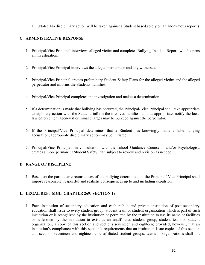a. (Note: No disciplinary action will be taken against a Student based solely on an anonymous report.)

# **C. ADMINISTRATIVE RESPONSE**

- 1. Principal/Vice Principal interviews alleged victim and completes Bullying Incident Report, which opens an investigation.
- 2. Principal/Vice Principal interviews the alleged perpetrator and any witnesses.
- 3. Principal/Vice Principal creates preliminary Student Safety Plans for the alleged victim and the alleged perpetrator and informs the Students' families.
- 4. Principal/Vice Principal completes the investigation and makes a determination.
- 5. If a determination is made that bullying has occurred, the Principal/ Vice Principal shall take appropriate disciplinary action with the Student, inform the involved families, and, as appropriate, notify the local law enforcement agency if criminal charges may be pursued against the perpetrator.
- 6. If the Principal/Vice Principal determines that a Student has knowingly made a false bullying accusation, appropriate disciplinary action may be initiated.
- 7. Principal/Vice Principal, in consultation with the school Guidance Counselor and/or Psychologist, creates a more permanent Student Safety Plan subject to review and revision as needed.

# **D. RANGE OF DISCIPLINE**

1. Based on the particular circumstances of the bullying determination, the Principal/ Vice Principal shall impose reasonable, respectful and realistic consequences up to and including expulsion.

# **E. LEGAL REF: MGL, CHAPTER 269: SECTION 19**

1. Each institution of secondary education and each public and private institution of post secondary education shall issue to every student group, student team or student organization which is part of such institution or is recognized by the institution or permitted by the institution to use its name or facilities or is known by the institution to exist as an unaffiliated student group, student team or student organization, a copy of this section and sections seventeen and eighteen; provided, however, that an institution's compliance with this section's requirements that an institution issue copies of this section and sections seventeen and eighteen to unaffiliated student groups, teams or organizations shall not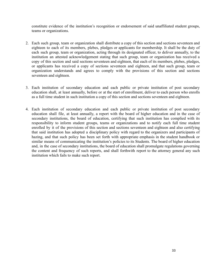constitute evidence of the institution's recognition or endorsement of said unaffiliated student groups, teams or organizations.

- 2. Each such group, team or organization shall distribute a copy of this section and sections seventeen and eighteen to each of its members, plebes, pledges or applicants for membership. It shall be the duty of each such group, team or organization, acting through its designated officer, to deliver annually, to the institution an attested acknowledgement stating that such group, team or organization has received a copy of this section and said sections seventeen and eighteen, that each of its members, plebes, pledges, or applicants has received a copy of sections seventeen and eighteen, and that such group, team or organization understands and agrees to comply with the provisions of this section and sections seventeen and eighteen.
- 3. Each institution of secondary education and each public or private institution of post secondary education shall, at least annually, before or at the start of enrollment, deliver to each person who enrolls as a full time student in such institution a copy of this section and sections seventeen and eighteen.
- 4. Each institution of secondary education and each public or private institution of post secondary education shall file, at least annually, a report with the board of higher education and in the case of secondary institutions, the board of education, certifying that such institution has complied with its responsibility to inform student groups, teams or organizations and to notify each full time student enrolled by it of the provisions of this section and sections seventeen and eighteen and also certifying that said institution has adopted a disciplinary policy with regard to the organizers and participants of hazing, and that such policy has been set forth with appropriate emphasis in the student handbook or similar means of communicating the institution's policies to its Students. The board of higher education and, in the case of secondary institutions, the board of education shall promulgate regulations governing the content and frequency of such reports, and shall forthwith report to the attorney general any such institution which fails to make such report.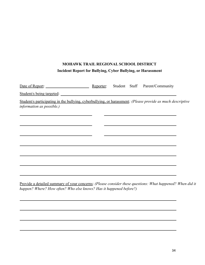# **MOHAWK TRAIL REGIONAL SCHOOL DISTRICT Incident Report for Bullying, Cyber Bullying, or Harassment**

| Date of Report:                                                                                                                         |  | Reporter: Student Staff Parent/Community |
|-----------------------------------------------------------------------------------------------------------------------------------------|--|------------------------------------------|
| Student/s being targeted:                                                                                                               |  |                                          |
| Student/s participating in the bullying, cyberbullying, or harassment: (Please provide as much descriptive<br>information as possible.) |  |                                          |
|                                                                                                                                         |  |                                          |
|                                                                                                                                         |  |                                          |
|                                                                                                                                         |  |                                          |
|                                                                                                                                         |  |                                          |
|                                                                                                                                         |  |                                          |
|                                                                                                                                         |  |                                          |

Provide a detailed summary of your concerns: *(Please consider these questions: What happened? When did it happen? Where? How often? Who else knows? Has it happened before?)*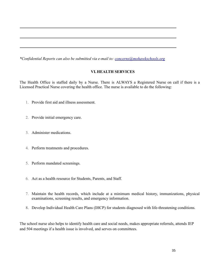*\*Confidential Reports can also be submitted via e-mail to: [concerns@mohawkschools.org](mailto:concerns@mohawkschools.org)*

# **VI.HEALTH SERVICES**

The Health Office is staffed daily by a Nurse. There is ALWAYS a Registered Nurse on call if there is a Licensed Practical Nurse covering the health office. The nurse is available to do the following:

- 1. Provide first aid and illness assessment.
- 2. Provide initial emergency care.
- 3. Administer medications.
- 4. Perform treatments and procedures.
- 5. Perform mandated screenings.
- 6. Act as a health resource for Students, Parents, and Staff.
- 7. Maintain the health records, which include at a minimum medical history, immunizations, physical examinations, screening results, and emergency information.
- 8. Develop Individual Health Care Plans (IHCP) for students diagnosed with life-threatening conditions.

The school nurse also helps to identify health care and social needs, makes appropriate referrals, attends IEP and 504 meetings if a health issue is involved, and serves on committees.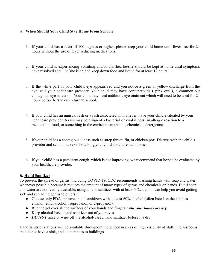# **A. When Should Your Child Stay Home From School?**

- 1. If your child has a fever of 100 degrees or higher, please keep your child home until fever free for 24 hours without the use of fever reducing medications.
- 2. If your child is experiencing vomiting and/or diarrhea he/she should be kept at home until symptoms have resolved and he/she is able to keep down food and liquid for at least 12 hours.
- 3. If the white part of your child's eye appears red and you notice a green or yellow discharge from the eye, call your healthcare provider. Your child may have conjunctivitis ("pink eye"), a common but contagious eye infection. Your child may need antibiotic eye ointment which will need to be used for 24 hours before he/she can return to school.
- 4. If your child has an unusual rash or a rash associated with a fever, have your child evaluated by your healthcare provider. A rash may be a sign of a bacterial or viral illness, an allergic reaction to a medication, food, or something in the environment (plants, chemicals, detergents).
- 5. If your child has a contagious illness such as strep throat, flu, or chicken pox. Discuss with the child's provider and school nurse on how long your child should remain home.
- 6. If your child has a persistent cough, which is not improving, we recommend that he/she be evaluated by your healthcare provider.

# *B.* **Hand Sanitizer**

To prevent the spread of germs, including COVID-19, CDC recommends washing hands with soap and water whenever possible because it reduces the amount of many types of germs and chemicals on hands. But if soap and water are not readily available, using a hand sanitizer with at least 60% alcohol can help you avoid getting sick and spreading germs to others.

- Choose only FDA approved hand sanitizers with at least 60% alcohol (often listed on the label as ethanol, ethyl alcohol, isopropanol, or 2-propanol).
- Rub the gel over all the surfaces of your hands and fingers *until your hands are dry*.
- Keep alcohol-based hand sanitizer out of your eyes.
- *DO NOT* rinse or wipe off the alcohol-based hand sanitizer before it's dry

Hand sanitizer stations will be available throughout the school in areas of high visibility of staff, in classrooms that do not have a sink, and at entrances to buildings.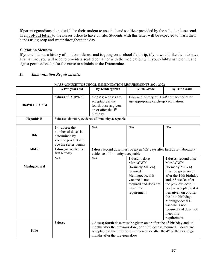If parents/guardians do not wish for their student to use the hand sanitizer provided by the school, please send in an **opt-out letter** to the nurses office to have on file. Students with this letter will be expected to wash their hands using soap and water throughout the day.

# *C.* **Motion Sickness**

If your child has a history of motion sickness and is going on a school field trip, if you would like them to have Dramamine, you will need to provide a sealed container with the medication with your child's name on it, and sign a permission slip for the nurse to administer the Dramamine.

# *D. Immunization Requirements:*

|                    | By two years old                                                                                      | MASSACHUSETTS SCHOOL IMMUNIZATION REQUIREMENTS 2021-2022<br><b>By Kindergarten</b>                                | By 7th Grade                                                                                                                                                                                                                                                        | By 11th Grade                                                                                                                                                                                                                                                                                                                  |
|--------------------|-------------------------------------------------------------------------------------------------------|-------------------------------------------------------------------------------------------------------------------|---------------------------------------------------------------------------------------------------------------------------------------------------------------------------------------------------------------------------------------------------------------------|--------------------------------------------------------------------------------------------------------------------------------------------------------------------------------------------------------------------------------------------------------------------------------------------------------------------------------|
|                    |                                                                                                       |                                                                                                                   |                                                                                                                                                                                                                                                                     |                                                                                                                                                                                                                                                                                                                                |
| DtaP/DTP/DT/Td     | 4 doses of DTaP/DPT                                                                                   | 5 doses; 4 doses are<br>acceptable if the<br>fourth dose is given<br>on or after the 4 <sup>th</sup><br>birthday. | Tdap and history of DTaP primary series or<br>age appropriate catch-up vaccination.                                                                                                                                                                                 |                                                                                                                                                                                                                                                                                                                                |
| <b>Hepatitis B</b> |                                                                                                       | 3 doses; laboratory evidence of immunity acceptable                                                               |                                                                                                                                                                                                                                                                     |                                                                                                                                                                                                                                                                                                                                |
| Hib                | 1-4 doses; the<br>number of doses is<br>determined by<br>vaccine product and<br>age the series begins | N/A                                                                                                               | N/A                                                                                                                                                                                                                                                                 | N/A                                                                                                                                                                                                                                                                                                                            |
| <b>MMR</b>         | 1 dose given after the<br>first birthday                                                              | evidence of immunity acceptable                                                                                   | 2 doses second dose must be given $\geq$ 28 days after first dose; laboratory                                                                                                                                                                                       |                                                                                                                                                                                                                                                                                                                                |
| Meningococcal      | N/A                                                                                                   | N/A                                                                                                               | 1 dose; 1 dose<br>MenACWY<br>(formerly MCV4)<br>required.<br>Meningococcal B<br>vaccine is not<br>required and does not<br>meet this<br>requirement.                                                                                                                | 2 doses; second dose<br>MenACWY<br>(formerly MCV4)<br>must be given on or<br>after the 16th birthday<br>and $\geq 8$ weeks after<br>the previous dose. 1<br>dose is acceptable if it<br>was given on or after<br>the 16th birthday.<br>Meningococcal B<br>vaccine is not<br>required and does not<br>meet this<br>requirement. |
| Polio              | 3 doses                                                                                               | months after the previous dose                                                                                    | 4 doses; fourth dose must be given on or after the 4 <sup>th</sup> birthday and $\geq 6$<br>months after the previous dose, or a fifth dose is required. 3 doses are<br>acceptable if the third dose is given on or after the 4 <sup>th</sup> birthday and $\geq 6$ |                                                                                                                                                                                                                                                                                                                                |

# MASSACHUSETTS SCHOOL IMMUNIZATION REQUIREMENTS 2021-2022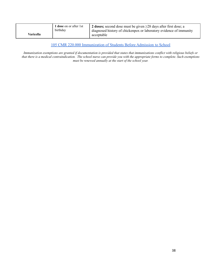# [105 CMR 220.000 Immunization of Students Before Admission](https://www.mass.gov/regulations/105-CMR-22000-immunization-of-students-before-admission-to-school) to School

Immunization exemptions are granted if documentation is provided that states that immunizations conflict with religious beliefs or that there is a medical contraindication. The school nurse can provide you with the appropriate forms to complete. Such exemptions *must be renewed annually at the start of the school year.*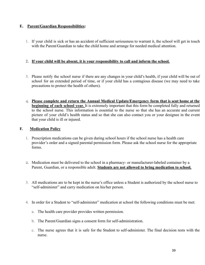# **E. Parent/Guardian Responsibilities:**

1. If your child is sick or has an accident of sufficient seriousness to warrant it, the school will get in touch with the Parent/Guardian to take the child home and arrange for needed medical attention.

# **2. If your child will be absent, it is your responsibility to call and inform the school.**

- 3. Please notify the school nurse if there are any changes in your child's health, if your child will be out of school for an extended period of time, or if your child has a contagious disease (we may need to take precautions to protect the health of others).
- 4. **Please complete and return the Annual Medical Update/Emergency form that is sent home at the beginning** of each school year. It is extremely important that this form be completed fully and returned to the school nurse. This information is essential to the nurse so that she has an accurate and current picture of your child's health status and so that she can also contact you or your designee in the event that your child is ill or injured.

# **F. Medication Policy**

- 1. Prescription medications can be given during school hours if the school nurse has a health care provider's order and a signed parental permission form. Please ask the school nurse for the appropriate forms.
- 2. Medication must be delivered to the school in a pharmacy- or manufacturer-labeled container by a Parent, Guardian, or a responsible adult. **Students are not allowed to bring medication to school.**
- 3. All medications are to be kept in the nurse's office unless a Student is authorized by the school nurse to "self-administer" and carry medication on his/her person.
- 4. In order for a Student to "self-administer" medication at school the following conditions must be met:
	- a. The health care provider provides written permission.
	- b. The Parent/Guardian signs a consent form for self-administration.
	- c. The nurse agrees that it is safe for the Student to self-administer. The final decision rests with the nurse.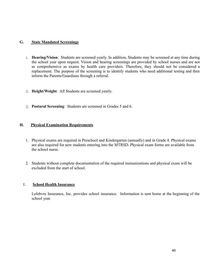# **G. State Mandated Screenings**

- 1. **Hearing/Vision**: Students are screened yearly. In addition, Students may be screened at any time during the school year upon request. Vision and hearing screenings are provided by school nurses and are not as comprehensive as exams by health care providers. Therefore, they should not be considered a replacement. The purpose of the screening is to identify students who need additional testing and then inform the Parents/Guardians through a referral.
- 2. **Height/Weight**: All Students are screened yearly.
- 3. **Postural Screening**: Students are screened in Grades 5 and 6.

# **H. Physical Examination Requirements**

- 1. Physical exams are required in Preschool and Kindergarten (annually) and in Grade 4. Physical exams are also required for new students entering into the MTRSD. Physical exam forms are available from the school nurse.
- 2. Students without complete documentation of the required immunizations and physical exam will be excluded from the start of school.

# **I. School Health Insurance**

Lefebvre Insurance, Inc. provides school insurance. Information is sent home at the beginning of the school year.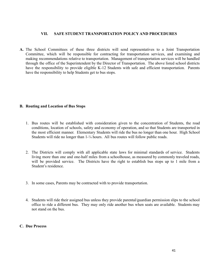#### **VII. SAFE STUDENT TRANSPORTATION POLICY AND PROCEDURES**

**A.** The School Committees of these three districts will send representatives to a Joint Transportation Committee, which will be responsible for contracting for transportation services, and examining and making recommendations relative to transportation. Management of transportation services will be handled through the office of the Superintendent by the Director of Transportation. The above listed school districts have the responsibility to provide eligible K-12 Students with safe and efficient transportation. Parents have the responsibility to help Students get to bus stops.

#### **B. Routing and Location of Bus Stops**

- 1. Bus routes will be established with consideration given to the concentration of Students, the road conditions, location of schools, safety and economy of operation, and so that Students are transported in the most efficient manner. Elementary Students will ride the bus no longer than one hour. High School Students will ride no longer than 1-¼ hours. All bus routes will follow public roads.
- 2. The Districts will comply with all applicable state laws for minimal standards of service. Students living more than one and one-half miles from a schoolhouse, as measured by commonly traveled roads, will be provided service. The Districts have the right to establish bus stops up to 1 mile from a Student's residence.
- 3. In some cases, Parents may be contracted with to provide transportation.
- 4. Students will ride their assigned bus unless they provide parental/guardian permission slips to the school office to ride a different bus. They may only ride another bus when seats are available. Students may not stand on the bus.

#### **C. Due Process**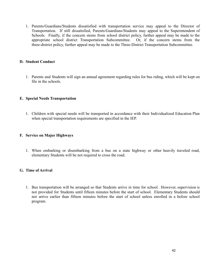1. Parents/Guardians/Students dissatisfied with transportation service may appeal to the Director of Transportation. If still dissatisfied, Parents/Guardians/Students may appeal to the Superintendent of Schools. Finally, if the concern stems from school district policy, further appeal may be made to the appropriate school district Transportation Subcommittee. Or, if the concern stems from the three-district policy, further appeal may be made to the Three-District Transportation Subcommittee.

#### **D. Student Conduct**

1. Parents and Students will sign an annual agreement regarding rules for bus riding, which will be kept on file in the schools.

#### **E. Special Needs Transportation**

1. Children with special needs will be transported in accordance with their Individualized Education Plan when special transportation requirements are specified in the IEP.

#### **F. Service on Major Highways**

1. When embarking or disembarking from a bus on a state highway or other heavily traveled road, elementary Students will be not required to cross the road.

# **G. Time of Arrival**

1. Bus transportation will be arranged so that Students arrive in time for school. However, supervision is not provided for Students until fifteen minutes before the start of school. Elementary Students should not arrive earlier than fifteen minutes before the start of school unless enrolled in a before school program.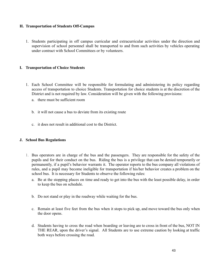#### **H. Transportation of Students Off-Campus**

1. Students participating in off campus curricular and extracurricular activities under the direction and supervision of school personnel shall be transported to and from such activities by vehicles operating under contract with School Committees or by volunteers.

#### **I. Transportation of Choice Students**

- 1. Each School Committee will be responsible for formulating and administering its policy regarding access of transportation to choice Students. Transportation for choice students is at the discretion of the District and is not required by law. Consideration will be given with the following provisions:
	- a. there must be sufficient room
	- b. it will not cause a bus to deviate from its existing route
	- c. it does not result in additional cost to the District.

# **J. School Bus Regulations**

- 1. Bus operators are in charge of the bus and the passengers. They are responsible for the safety of the pupils and for their conduct on the bus. Riding the bus is a privilege that can be denied temporarily or permanently, if a pupil's behavior warrants it. The operator reports to the bus company all violations of rules, and a pupil may become ineligible for transportation if his/her behavior creates a problem on the school bus. It is necessary for Students to observe the following rules:
	- a. Be at the stopping places on time and ready to get into the bus with the least possible delay, in order to keep the bus on schedule.
	- b. Do not stand or play in the roadway while waiting for the bus.
	- c. Remain at least five feet from the bus when it stops to pick up, and move toward the bus only when the door opens.
	- d. Students having to cross the road when boarding or leaving are to cross in front of the bus, NOT IN THE REAR, upon the driver's signal. All Students are to use extreme caution by looking at traffic both ways before crossing the road.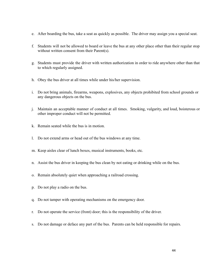- e. After boarding the bus, take a seat as quickly as possible. The driver may assign you a special seat.
- f. Students will not be allowed to board or leave the bus at any other place other than their regular stop without written consent from their Parent(s).
- g. Students must provide the driver with written authorization in order to ride anywhere other than that to which regularly assigned.
- h. Obey the bus driver at all times while under his/her supervision.
- i. Do not bring animals, firearms, weapons, explosives, any objects prohibited from school grounds or any dangerous objects on the bus.
- j. Maintain an acceptable manner of conduct at all times. Smoking, vulgarity, and loud, boisterous or other improper conduct will not be permitted.
- k. Remain seated while the bus is in motion.
- l. Do not extend arms or head out of the bus windows at any time.
- m. Keep aisles clear of lunch boxes, musical instruments, books, etc.
- n. Assist the bus driver in keeping the bus clean by not eating or drinking while on the bus.
- o. Remain absolutely quiet when approaching a railroad crossing.
- p. Do not play a radio on the bus.
- q. Do not tamper with operating mechanisms on the emergency door.
- r. Do not operate the service (front) door; this is the responsibility of the driver.
- s. Do not damage or deface any part of the bus. Parents can be held responsible for repairs.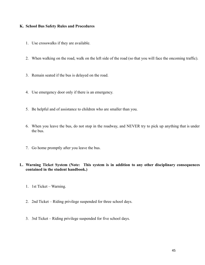#### **K. School Bus Safety Rules and Procedures**

- 1. Use crosswalks if they are available.
- 2. When walking on the road, walk on the left side of the road (so that you will face the oncoming traffic).
- 3. Remain seated if the bus is delayed on the road.
- 4. Use emergency door only if there is an emergency.
- 5. Be helpful and of assistance to children who are smaller than you.
- 6. When you leave the bus, do not stop in the roadway, and NEVER try to pick up anything that is under the bus.
- 7. Go home promptly after you leave the bus.

# **L. Warning Ticket System (Note: This system is in addition to any other disciplinary consequences contained in the student handbook.)**

- 1. 1st Ticket Warning.
- 2. 2nd Ticket Riding privilege suspended for three school days.
- 3. 3rd Ticket Riding privilege suspended for five school days.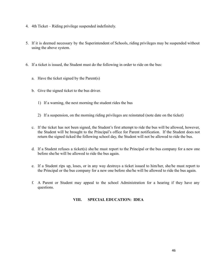- 4. 4th Ticket Riding privilege suspended indefinitely.
- 5. If it is deemed necessary by the Superintendent of Schools, riding privileges may be suspended without using the above system.
- 6. If a ticket is issued, the Student must do the following in order to ride on the bus:
	- a. Have the ticket signed by the Parent(s)
	- b. Give the signed ticket to the bus driver.
		- 1) If a warning, the next morning the student rides the bus
		- 2) If a suspension, on the morning riding privileges are reinstated (note date on the ticket)
	- c. If the ticket has not been signed, the Student's first attempt to ride the bus will be allowed, however, the Student will be brought to the Principal's office for Parent notification. If the Student does not return the signed ticked the following school day, the Student will not be allowed to ride the bus.
	- d. If a Student refuses a ticket(s) she/he must report to the Principal or the bus company for a new one before she/he will be allowed to ride the bus again.
	- e. If a Student rips up, loses, or in any way destroys a ticket issued to him/her, she/he must report to the Principal or the bus company for a new one before she/he will be allowed to ride the bus again.
	- f. A Parent or Student may appeal to the school Administration for a hearing if they have any questions.

# **VIII. SPECIAL EDUCATION: IDEA**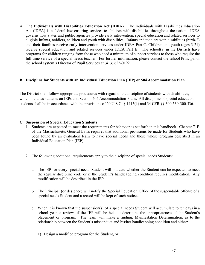A. **The Individuals with Disabilities Education Act (IDEA).** The Individuals with Disabilities Education Act (IDEA) is a federal law ensuring services to children with disabilities throughout the nation. IDEA governs how states and public agencies provide early intervention, special education and related services to eligible infants, toddlers, children and youth with disabilities. Infants and toddlers with disabilities (birth-2) and their families receive early intervention services under IDEA Part C. Children and youth (ages 3-21) receive special education and related services under IDEA Part B. The school(s) in the Districts have programs for children ranging from those who need a minimum of support services to those who require the full-time service of a special needs teacher. For further information, please contact the school Principal or the school system's Director of Pupil Services at (413) 625-0192.

#### **B. Discipline for Students with an Individual Education Plan (IEP) or 504 Accommodation Plan**

The District shall follow appropriate procedures with regard to the discipline of students with disabilities, which includes students on IEPs and Section 504 Accommodation Plans. All discipline of special education students shall be in accordance with the provisions of 20 U.S.C. § 1415(k) and 34 CFR §§ 300.530-300.536.

# **C. Suspension of Special Education Students**

- 1. Students are expected to meet the requirements for behavior as set forth in this handbook. Chapter 71B of the Massachusetts General Laws requires that additional provisions be made for Students who have been found by an evaluation team to have special needs and those whose program described in an Individual Education Plan (IEP).
- 2. The following additional requirements apply to the discipline of special needs Students:
	- a. The IEP for every special needs Student will indicate whether the Student can be expected to meet the regular discipline code or if the Student's handicapping condition requires modification. Any modification will be described in the IEP.
	- b. The Principal (or designee) will notify the Special Education Office of the suspendable offense of a special needs Student and a record will be kept of such notices.
	- c. When it is known that the suspension(s) of a special needs Student will accumulate to ten days in a school year, a review of the IEP will be held to determine the appropriateness of the Student's placement or program. The team will make a finding, Manifestation Determination, as to the relationship between the Student's misconduct and his/her handicapping condition and either:
		- 1) Design a modified program for the Student, or;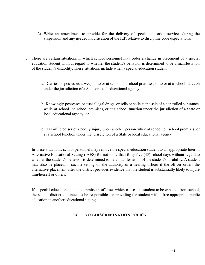- 2) Write an amendment to provide for the delivery of special education services during the suspension and any needed modification of the IEP, relative to discipline code expectations.
- 3. There are certain situations in which school personnel may order a change in placement of a special education student without regard to whether the student's behavior is determined to be a manifestation of the student's disability. These situations include when a special education student:
	- a. Carries or possesses a weapon to or at school, on school premises, or to or at a school function under the jurisdiction of a State or local educational agency;
	- b. Knowingly possesses or uses illegal drugs, or sells or solicits the sale of a controlled substance, while at school, on school premises, or at a school function under the jurisdiction of a State or local educational agency; or
	- c. Has inflicted serious bodily injury upon another person while at school, on school premises, or at a school function under the jurisdiction of a State or local educational agency.

In these situations, school personnel may remove the special education student to an appropriate Interim Alternative Educational Setting (IAES) for not more than forty-five (45) school days without regard to whether the student's behavior is determined to be a manifestation of the student's disability. A student may also be placed in such a setting on the authority of a hearing officer if the officer orders the alternative placement after the district provides evidence that the student is substantially likely to injure him/herself or others.

If a special education student commits an offense, which causes the student to be expelled from school, the school district continues to be responsible for providing the student with a free appropriate public education in another educational setting.

# **IX. NON-DISCRIMINATION POLICY**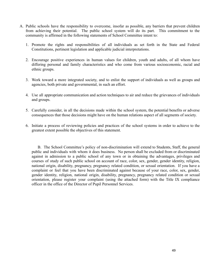- A. Public schools have the responsibility to overcome, insofar as possible, any barriers that prevent children from achieving their potential. The public school system will do its part. This commitment to the community is affirmed in the following statements of School Committee intent to:
	- 1. Promote the rights and responsibilities of all individuals as set forth in the State and Federal Constitutions, pertinent legislation and applicable judicial interpretations.
	- 2. Encourage positive experiences in human values for children, youth and adults, of all whom have differing personal and family characteristics and who come from various socioeconomic, racial and ethnic groups.
	- 3. Work toward a more integrated society, and to enlist the support of individuals as well as groups and agencies, both private and governmental, in such an effort.
	- 4. Use all appropriate communication and action techniques to air and reduce the grievances of individuals and groups.
	- 5. Carefully consider, in all the decisions made within the school system, the potential benefits or adverse consequences that those decisions might have on the human relations aspect of all segments of society.
	- 6. Initiate a process of reviewing policies and practices of the school systems in order to achieve to the greatest extent possible the objectives of this statement.

B. The School Committee's policy of non-discrimination will extend to Students, Staff, the general public and individuals with whom it does business. No person shall be excluded from or discriminated against in admission to a public school of any town or in obtaining the advantages, privileges and courses of study of such public school on account of race, color, sex, gender, gender identity, religion, national origin, disability, pregnancy, pregnancy related condition, or sexual orientation. If you have a complaint or feel that you have been discriminated against because of your race, color, sex, gender, gender identity, religion, national origin, disability, pregnancy, pregnancy related condition or sexual orientation, please register your complaint (using the attached form) with the Title IX compliance officer in the office of the Director of Pupil Personnel Services.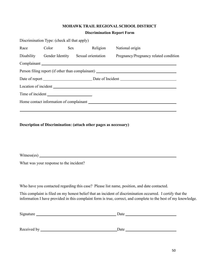#### **MOHAWK TRAIL REGIONAL SCHOOL DISTRICT**

#### **Discrimination Report Form**

| Discrimination Type: (check all that apply)                      |  |                                         |                                                                                     |                                                                                                                                                                                                                                |
|------------------------------------------------------------------|--|-----------------------------------------|-------------------------------------------------------------------------------------|--------------------------------------------------------------------------------------------------------------------------------------------------------------------------------------------------------------------------------|
|                                                                  |  | Race Color Sex Religion National origin |                                                                                     |                                                                                                                                                                                                                                |
|                                                                  |  |                                         | Disability Gender Identity Sexual orientation Pregnancy/Pregnancy related condition |                                                                                                                                                                                                                                |
|                                                                  |  |                                         |                                                                                     |                                                                                                                                                                                                                                |
|                                                                  |  |                                         |                                                                                     | Person filing report (if other than complainant) ________________________________                                                                                                                                              |
|                                                                  |  |                                         |                                                                                     |                                                                                                                                                                                                                                |
|                                                                  |  |                                         |                                                                                     | Location of incident Learning and the state of the state of the state of the state of the state of the state of the state of the state of the state of the state of the state of the state of the state of the state of the st |
|                                                                  |  |                                         |                                                                                     |                                                                                                                                                                                                                                |
|                                                                  |  |                                         |                                                                                     | Home contact information of complainant                                                                                                                                                                                        |
|                                                                  |  |                                         |                                                                                     |                                                                                                                                                                                                                                |
|                                                                  |  |                                         |                                                                                     |                                                                                                                                                                                                                                |
| Description of Discrimination: (attach other pages as necessary) |  |                                         |                                                                                     |                                                                                                                                                                                                                                |

Witness(es)

What was your response to the incident?

Who have you contacted regarding this case? Please list name, position, and date contacted.

This complaint is filed on my honest belief that an incident of discrimination occurred. I certify that the information I have provided in this complaint form is true, correct, and complete to the best of my knowledge.

| $\sim$<br>$-$<br>$\mathcal{S}_1$<br>тинге |  |
|-------------------------------------------|--|
|                                           |  |

| Received<br>hv | ate |
|----------------|-----|
|----------------|-----|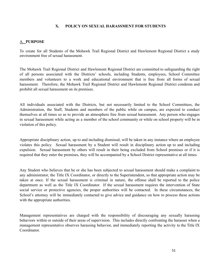# **X. POLICY ON SEXUAL HARASSMENT FOR STUDENTS**

#### A. **PURPOSE**

To create for all Students of the Mohawk Trail Regional District and Hawlemont Regional District a study environment free of sexual harassment.

The Mohawk Trail Regional District and Hawlemont Regional District are committed to safeguarding the right of all persons associated with the Districts' schools, including Students, employees, School Committee members and volunteers to a work and educational environment that is free from all forms of sexual harassment. Therefore, the Mohawk Trail Regional District and Hawlemont Regional District condemn and prohibit all sexual harassment on its premises.

All individuals associated with the Districts, but not necessarily limited to the School Committees, the Administration, the Staff, Students and members of the public while on campus, are expected to conduct themselves at all times so as to provide an atmosphere free from sexual harassment. Any person who engages in sexual harassment while acting as a member of the school community or while on school property will be in violation of this policy.

Appropriate disciplinary action, up to and including dismissal, will be taken in any instance where an employee violates this policy. Sexual harassment by a Student will result in disciplinary action up to and including expulsion. Sexual harassment by others will result in their being excluded from School premises or if it is required that they enter the premises, they will be accompanied by a School District representative at all times.

Any Student who believes that he or she has been subjected to sexual harassment should make a complaint to any administrator, the Title IX Coordinator, or directly to the Superintendent, so that appropriate action may be taken at once. If the sexual harassment is criminal in nature, the offense shall be reported to the police department as well as the Title IX Coordinator. If the sexual harassment requires the intervention of State social service or protective agencies, the proper authorities will be contacted. In these circumstances, the School's attorney will be immediately contacted to give advice and guidance on how to process these actions with the appropriate authorities.

Management representatives are charged with the responsibility of discouraging any sexually harassing behaviors within or outside of their areas of supervision. This includes directly confronting the harasser when a management representative observes harassing behavior, and immediately reporting the activity to the Title IX Coordinator.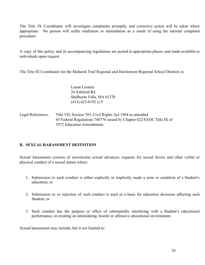The Title IX Coordinator will investigate complaints promptly, and corrective action will be taken where appropriate. No person will suffer retaliation or intimidation as a result of using the internal complaint procedure.

A copy of this policy and its accompanying regulations are posted in appropriate places, and made available to individuals upon request.

The Title IX Coordinator for the Mohawk Trail Regional and Hawlemont Regional School Districts is:

Leann Loomis 24 Ashfield Rd. Shelburne Falls, MA 01370 (413) 625-0192 x15

Legal References: Title VII, Section 703, Civil Rights Act 1964 as amended 45 Federal Regulations 746776 issued by Chapter 622/EEOC Title IX of 1972 Education Amendments

# **B. SEXUAL HARASSMENT DEFINITION**

Sexual harassment consists of unwelcome sexual advances, requests for sexual favors and other verbal or physical conduct of a sexual nature where:

- 1. Submission to such conduct is either explicitly or implicitly made a term or condition of a Student's education; or
- 2. Submission to or rejection of such conduct is used as a basis for education decisions affecting such Student; or
- 3. Such conduct has the purpose or effect of substantially interfering with a Student's educational performance, or creating an intimidating, hostile or offensive educational environment.

Sexual harassment may include, but is not limited to: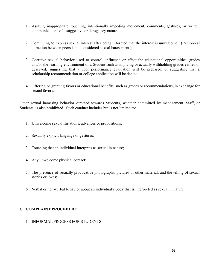- 1. Assault, inappropriate touching, intentionally impeding movement, comments, gestures, or written communications of a suggestive or derogatory nature.
- 2. Continuing to express sexual interest after being informed that the interest is unwelcome. (Reciprocal attraction between peers is not considered sexual harassment.)
- 3. Coercive sexual behavior used to control, influence or affect the educational opportunities, grades and/or the learning environment of a Student such as implying or actually withholding grades earned or deserved, suggesting that a poor performance evaluation will be prepared, or suggesting that a scholarship recommendation or college application will be denied.
- 4. Offering or granting favors or educational benefits, such as grades or recommendations, in exchange for sexual favors.

Other sexual harassing behavior directed towards Students, whether committed by management, Staff, or Students, is also prohibited. Such conduct includes but is not limited to:

- 1. Unwelcome sexual flirtations, advances or propositions;
- 2. Sexually explicit language or gestures;
- 3. Touching that an individual interprets as sexual in nature;
- 4. Any unwelcome physical contact;
- 5. The presence of sexually provocative photographs, pictures or other material, and the telling of sexual stories or jokes;
- 6. Verbal or non-verbal behavior about an individual's body that is interpreted as sexual in nature.

# **C. COMPLAINT PROCEDURE**

1. INFORMAL PROCESS FOR STUDENTS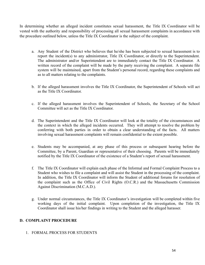In determining whether an alleged incident constitutes sexual harassment, the Title IX Coordinator will be vested with the authority and responsibility of processing all sexual harassment complaints in accordance with the procedure outlined below, unless the Title IX Coordinator is the subject of the complaint.

- a. Any Student of the District who believes that he/she has been subjected to sexual harassment is to report the incident(s) to any administrator, Title IX Coordinator, or directly to the Superintendent. The administrator and/or Superintendent are to immediately contact the Title IX Coordinator. A written record of the complaint will be made by the party receiving the complaint. A separate file system will be maintained, apart from the Student's personal record, regarding these complaints and as to all matters relating to the complaints.
- b. If the alleged harassment involves the Title IX Coordinator, the Superintendent of Schools will act as the Title IX Coordinator.
- c. If the alleged harassment involves the Superintendent of Schools, the Secretary of the School Committee will act as the Title IX Coordinator.
- d. The Superintendent and the Title IX Coordinator will look at the totality of the circumstances and the context in which the alleged incidents occurred. They will attempt to resolve the problem by conferring with both parties in order to obtain a clear understanding of the facts. All matters involving sexual harassment complaints will remain confidential to the extent possible.
- e. Students may be accompanied, at any phase of this process or subsequent hearing before the Committee, by a Parent, Guardian or representative of their choosing. Parents will be immediately notified by the Title IX Coordinator of the existence of a Student's report of sexual harassment.
- f. The Title IX Coordinator will explain each phase of the Informal and Formal Complaint Process to a Student who wishes to file a complaint and will assist the Student in the processing of the complaint. In addition, the Title IX Coordinator will inform the Student of additional forums for resolution of the complaint such as the Office of Civil Rights (O.C.R.) and the Massachusetts Commission Against Discrimination (M.C.A.D.).
- g. Under normal circumstances, the Title IX Coordinator's investigation will be completed within five working days of the initial complaint. Upon completion of the investigation, the Title IX Coordinator shall issue his/her findings in writing to the Student and the alleged harasser.

# **D. COMPLAINT PROCEDURE**

1. FORMAL PROCESS FOR STUDENTS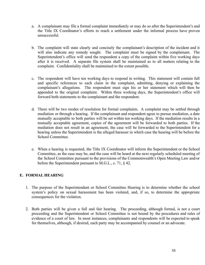- a. A complainant may file a formal complaint immediately or may do so after the Superintendent's and the Title IX Coordinator's efforts to reach a settlement under the informal process have proven unsuccessful.
- b. The complaint will state clearly and concisely the complainant's description of the incident and it will also indicate any remedy sought. The complaint must be signed by the complainant. The Superintendent's office will send the respondent a copy of the complaint within five working days after it is received. A separate file system shall be maintained as to all matters relating to the complaint. Confidentiality shall be maintained to the extent possible.
- c. The respondent will have ten working days to respond in writing. This statement will contain full and specific references to each claim in the complaint, admitting, denying or explaining the complainant's allegations. The respondent must sign his or her statement which will then be appended to the original complaint. Within three working days, the Superintendent's office will forward both statements to the complainant and the respondent.
- d. There will be two modes of resolution for formal complaints. A complaint may be settled through mediation or through a hearing. If the complainant and respondent agree to pursue mediation, a date mutually acceptable to both parties will be set within ten working days. If the mediation results in a mutually acceptable agreement, copies of the agreement will be forwarded to both parties. If the mediation does not result in an agreement, the case will be forwarded to the Superintendent for a hearing unless the Superintendent is the alleged harasser in which case the hearing will be before the School Committee.
- e. When a hearing is requested, the Title IX Coordinator will inform the Superintendent or the School Committee, as the case may be, and the case will be heard at the next regularly scheduled meeting of the School Committee pursuant to the provisions of the Commonwealth's Open Meeting Law and/or before the Superintendent pursuant to M.G.L., c. 71, § 42.

# **E. FORMAL HEARING**

- 1. The purpose of the Superintendent or School Committee Hearing is to determine whether the school system's policy on sexual harassment has been violated, and, if so, to determine the appropriate consequences for the violation.
- 2. Both parties will be given a full and fair hearing. The proceeding, although formal, is not a court proceeding and the Superintendent or School Committee is not bound by the procedures and rules of evidence of a court of law. In most instances, complainants and respondents will be expected to speak for themselves, although, if desired, each party may be accompanied by counsel or an advocate.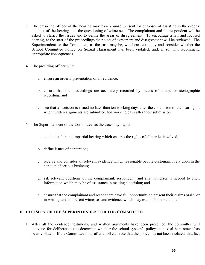- 3. The presiding officer of the hearing may have counsel present for purposes of assisting in the orderly conduct of the hearing and the questioning of witnesses. The complainant and the respondent will be asked to clarify the issues and to define the areas of disagreement. To encourage a fair and focused hearing, at the start of the proceedings the points of agreement and disagreement will be reviewed. The Superintendent or the Committee, as the case may be, will hear testimony and consider whether the School Committee Policy on Sexual Harassment has been violated, and, if so, will recommend appropriate consequences.
- 4. The presiding officer will:
	- a. ensure an orderly presentation of all evidence;
	- b. ensure that the proceedings are accurately recorded by means of a tape or stenographic recording; and
	- c. see that a decision is issued no later than ten working days after the conclusion of the hearing or, when written arguments are submitted, ten working days after their submission.
- 5. The Superintendent or the Committee, as the case may be, will:
	- a. conduct a fair and impartial hearing which ensures the rights of all parties involved;
	- b. define issues of contention;
	- c. receive and consider all relevant evidence which reasonable people customarily rely upon in the conduct of serious business;
	- d. ask relevant questions of the complainant, respondent, and any witnesses if needed to elicit information which may be of assistance in making a decision; and
	- e. ensure that the complainant and respondent have full opportunity to present their claims orally or in writing, and to present witnesses and evidence which may establish their claims.

# **F. DECISION OF THE SUPERINTENDENT OR THE COMMITTEE**

1. After all the evidence, testimony, and written arguments have been presented, the committee will convene for deliberations to determine whether the school system's policy on sexual harassment has been violated. If the Committee finds after a roll call vote that the policy has not been violated, that fact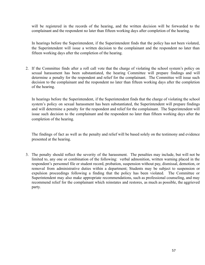will be registered in the records of the hearing, and the written decision will be forwarded to the complainant and the respondent no later than fifteen working days after completion of the hearing.

In hearings before the Superintendent, if the Superintendent finds that the policy has not been violated, the Superintendent will issue a written decision to the complainant and the respondent no later than fifteen working days after the completion of the hearing.

2. If the Committee finds after a roll call vote that the charge of violating the school system's policy on sexual harassment has been substantiated, the hearing Committee will prepare findings and will determine a penalty for the respondent and relief for the complainant. The Committee will issue such decision to the complainant and the respondent no later than fifteen working days after the completion of the hearing.

In hearings before the Superintendent, if the Superintendent finds that the charge of violating the school system's policy on sexual harassment has been substantiated, the Superintendent will prepare findings and will determine a penalty for the respondent and relief for the complainant. The Superintendent will issue such decision to the complainant and the respondent no later than fifteen working days after the completion of the hearing.

The findings of fact as well as the penalty and relief will be based solely on the testimony and evidence presented at the hearing.

3. The penalty should reflect the severity of the harassment. The penalties may include, but will not be limited to, any one or combination of the following: verbal admonition, written warning placed in the respondent's personnel file or student record, probation, suspension without pay, dismissal, demotion, or removal from administrative duties within a department; Students may be subject to suspension or expulsion proceedings following a finding that the policy has been violated. The Committee or Superintendent may also make appropriate recommendations, such as professional counseling, and may recommend relief for the complainant which reinstates and restores, as much as possible, the aggrieved party.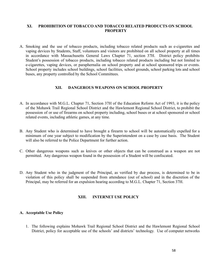# **XI. PROHIBITION OF TOBACCO AND TOBACCO RELATED PRODUCTS ON SCHOOL PROPERTY**

A. Smoking and the use of tobacco products, including tobacco related products such as e-cigarettes and vaping devices by Students, Staff, volunteers and visitors are prohibited on all school property at all times in accordance with Massachusetts General Laws Chapter 71, section 37H. District policy prohibits Student's possession of tobacco products, including tobacco related products including but not limited to e-cigarettes, vaping devices, or paraphernalia on school property and at school sponsored trips or events. School property includes school buildings, school facilities, school grounds, school parking lots and school buses, any property controlled by the School Committees.

# **XII. DANGEROUS WEAPONS ON SCHOOL PROPERTY**

- A. In accordance with M.G.L. Chapter 71, Section 37H of the Education Reform Act of 1993, it is the policy of the Mohawk Trail Regional School District and the Hawlemont Regional School District, to prohibit the possession of or use of firearms on school property including, school buses or at school sponsored or school related events, including athletic games, at any time.
- B. Any Student who is determined to have brought a firearm to school will be automatically expelled for a minimum of one year subject to modification by the Superintendent on a case by case basis. The Student will also be referred to the Police Department for further action.
- C. Other dangerous weapons such as knives or other objects that can be construed as a weapon are not permitted. Any dangerous weapon found in the possession of a Student will be confiscated.
- D. Any Student who in the judgment of the Principal, as verified by due process, is determined to be in violation of this policy shall be suspended from attendance (out of school) and in the discretion of the Principal, may be referred for an expulsion hearing according to M.G.L. Chapter 71, Section 37H.

# **XIII. INTERNET USE POLICY**

#### **A. Acceptable Use Policy**

1. The following explains Mohawk Trail Regional School District and the Hawlemont Regional School District, policy for acceptable use of the schools' and districts' technology. Use of computer networks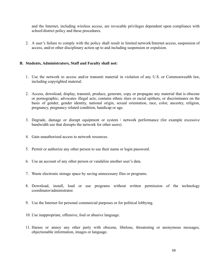and the Internet, including wireless access, are revocable privileges dependent upon compliance with school/district policy and these procedures.

2. A user's failure to comply with the policy shall result in limited network/Internet access, suspension of access, and/or other disciplinary action up to and including suspension or expulsion.

#### **B. Students, Administrators, Staff and Faculty shall not:**

- 1. Use the network to access and/or transmit material in violation of any U.S. or Commonwealth law, including copyrighted material.
- 2. Access, download, display, transmit, produce, generate, copy or propagate any material that is obscene or pornographic; advocates illegal acts; contains ethnic slurs or racial epithets; or discriminates on the basis of gender, gender identity, national origin, sexual orientation, race, color, ancestry, religion, pregnancy, pregnancy related condition, handicap or age.
- 3. Degrade, damage or disrupt equipment or system / network performance (for example excessive bandwidth use that disrupts the network for other users).
- 4. Gain unauthorized access to network resources.
- 5. Permit or authorize any other person to use their name or login password.
- 6. Use an account of any other person or vandalize another user's data.
- 7. Waste electronic storage space by saving unnecessary files or programs.
- 8. Download, install, load or use programs without written permission of the technology coordinator/administrator.
- 9. Use the Internet for personal commercial purposes or for political lobbying.
- 10. Use inappropriate, offensive, foul or abusive language.
- 11. Harass or annoy any other party with obscene, libelous, threatening or anonymous messages, objectionable information, images or language.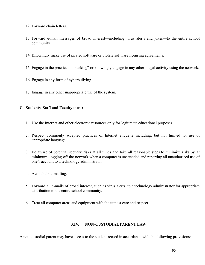- 12. Forward chain letters.
- 13. Forward e-mail messages of broad interest—including virus alerts and jokes—to the entire school community.
- 14. Knowingly make use of pirated software or violate software licensing agreements.
- 15. Engage in the practice of "hacking" or knowingly engage in any other illegal activity using the network.
- 16. Engage in any form of cyberbullying.
- 17. Engage in any other inappropriate use of the system.

# **C. Students, Staff and Faculty must:**

- 1. Use the Internet and other electronic resources only for legitimate educational purposes.
- 2. Respect commonly accepted practices of Internet etiquette including, but not limited to, use of appropriate language.
- 3. Be aware of potential security risks at all times and take all reasonable steps to minimize risks by, at minimum, logging off the network when a computer is unattended and reporting all unauthorized use of one's account to a technology administrator.
- 4. Avoid bulk e-mailing.
- 5. Forward all e-mails of broad interest, such as virus alerts, to a technology administrator for appropriate distribution to the entire school community.
- 6. Treat all computer areas and equipment with the utmost care and respect

# **XIV. NON-CUSTODIAL PARENT LAW**

A non-custodial parent may have access to the student record in accordance with the following provisions: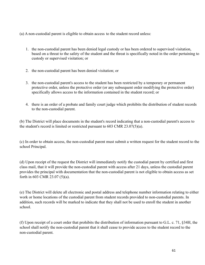(a) A non-custodial parent is eligible to obtain access to the student record unless:

- 1. the non-custodial parent has been denied legal custody or has been ordered to supervised visitation, based on a threat to the safety of the student and the threat is specifically noted in the order pertaining to custody or supervised visitation; or
- 2. the non-custodial parent has been denied visitation; or
- 3. the non-custodial parent's access to the student has been restricted by a temporary or permanent protective order, unless the protective order (or any subsequent order modifying the protective order) specifically allows access to the information contained in the student record; or
- 4. there is an order of a probate and family court judge which prohibits the distribution of student records to the non-custodial parent.

(b) The District will place documents in the student's record indicating that a non-custodial parent's access to the student's record is limited or restricted pursuant to 603 CMR 23.07(5)(a).

(c) In order to obtain access, the non-custodial parent must submit a written request for the student record to the school Principal.

(d) Upon receipt of the request the District will immediately notify the custodial parent by certified and first class mail, that it will provide the non-custodial parent with access after 21 days, unless the custodial parent provides the principal with documentation that the non-custodial parent is not eligible to obtain access as set forth in 603 CMR 23.07 (5)(a).

(e) The District will delete all electronic and postal address and telephone number information relating to either work or home locations of the custodial parent from student records provided to non-custodial parents. In addition, such records will be marked to indicate that they shall not be used to enroll the student in another school.

(f) Upon receipt of a court order that prohibits the distribution of information pursuant to G.L. c. 71, §34H, the school shall notify the non-custodial parent that it shall cease to provide access to the student record to the non-custodial parent.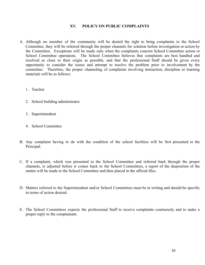# **XV. POLICY ON PUBLIC COMPLAINTS**

- A. Although no member of the community will be denied the right to bring complaints to the School Committee, they will be referred through the proper channels for solution before investigation or action by the Committee. Exceptions will be made only when the complaints concern School Committee action or School Committee operations. The School Committee believes that complaints are best handled and resolved as close to their origin as possible, and that the professional Staff should be given every opportunity to consider the issues and attempt to resolve the problem prior to involvement by the committee. Therefore, the proper channeling of complaints involving instruction, discipline or learning materials will be as follows:
	- 1. Teacher
	- 2. School building administrator
	- 3. Superintendent
	- 4. School Committee
- B. Any complaint having to do with the condition of the school facilities will be first presented to the Principal.
- C. If a complaint, which was presented to the School Committee and referred back through the proper channels, is adjusted before it comes back to the School Committees, a report of the disposition of the matter will be made to the School Committee and then placed in the official files.
- D. Matters referred to the Superintendent and/or School Committees must be in writing and should be specific in terms of action desired.
- E. The School Committees expects the professional Staff to receive complaints courteously and to make a proper reply to the complainant.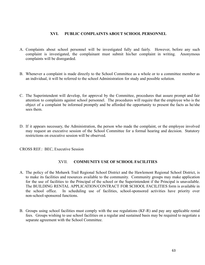# **XVI. PUBLIC COMPLAINTS ABOUT SCHOOL PERSONNEL**

- A. Complaints about school personnel will be investigated fully and fairly. However, before any such complaint is investigated, the complainant must submit his/her complaint in writing. Anonymous complaints will be disregarded.
- B. Whenever a complaint is made directly to the School Committee as a whole or to a committee member as an individual, it will be referred to the school Administration for study and possible solution.
- C. The Superintendent will develop, for approval by the Committee, procedures that assure prompt and fair attention to complaints against school personnel. The procedures will require that the employee who is the object of a complaint be informed promptly and be afforded the opportunity to present the facts as he/she sees them.
- D. If it appears necessary, the Administration, the person who made the complaint, or the employee involved may request an executive session of the School Committee for a formal hearing and decision. Statutory restrictions on executive session will be observed.

CROSS REF.: BEC, Executive Session

# XVII. **COMMUNITY USE OF SCHOOL FACILITIES**

- A. The policy of the Mohawk Trail Regional School District and the Hawlemont Regional School District, is to make its facilities and resources available to the community. Community groups may make application for the use of facilities to the Principal of the school or the Superintendent if the Principal is unavailable. The BUILDING RENTAL APPLICATION/CONTRACT FOR SCHOOL FACILITIES form is available in the school office. In scheduling use of facilities, school-sponsored activities have priority over non-school-sponsored functions.
- B. Groups using school facilities must comply with the use regulations (KF-R) and pay any applicable rental fees. Groups wishing to use school facilities on a regular and sustained basis may be required to negotiate a separate agreement with the School Committee.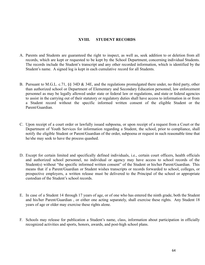# **XVIII. STUDENT RECORDS**

- A. Parents and Students are guaranteed the right to inspect, as well as, seek addition to or deletion from all records, which are kept or requested to be kept by the School Department, concerning individual Students. The records include the Student's transcript and any other recorded information, which is identified by the Student's name. A signed log is kept in each cumulative record for all Students.
- B. Pursuant to M.G.L. c.71, §§ 34D & 34E, and the regulations promulgated there under, no third party, other than authorized school or Department of Elementary and Secondary Education personnel, law enforcement personnel as may be legally allowed under state or federal law or regulations, and state or federal agencies to assist in the carrying out of their statutory or regulatory duties shall have access to information in or from a Student record without the specific informed written consent of the eligible Student or the Parent/Guardian.
- C. Upon receipt of a court order or lawfully issued subpoena, or upon receipt of a request from a Court or the Department of Youth Services for information regarding a Student, the school, prior to compliance, shall notify the eligible Student or Parent/Guardian of the order, subpoena or request in such reasonable time that he/she may seek to have the process quashed.
- D. Except for certain limited and specifically defined individuals, i.e., certain court officers, health officials and authorized school personnel, no individual or agency may have access to school records of the Student(s) without "the specific informed written consent" of the Student or his/her Parent/Guardian. This means that if a Parent/Guardian or Student wishes transcripts or records forwarded to school, colleges, or prospective employers, a written release must be delivered to the Principal of the school or appropriate custodian of the Student's school records.
- E. In case of a Student 14 through 17 years of age, or of one who has entered the ninth grade, both the Student and his/her Parent/Guardian, or either one acting separately, shall exercise these rights. Any Student 18 years of age or older may exercise these rights alone.
- F. Schools may release for publication a Student's name, class, information about participation in officially recognized activities and sports, honors, awards, and post-high school plans.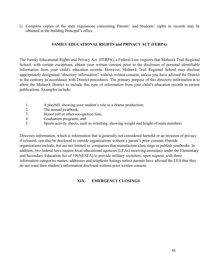G. Complete copies of the state regulations concerning Parents' and Students' rights to records may be obtained in the building Principal's office.

# **FAMILY EDUCATIONAL RIGHTS and PRIVACY ACT (FERPA)**

The Family Educational Rights and Privacy Act (FERPA), a Federal Law, requires that Mohawk Trail Regional School, with certain exceptions, obtain your written consent prior to the disclosure of personal identifiable information from your child's education records. However, Mohawk Trail Regional School may disclose appropriately designated "directory information" without written consent, unless you have advised the District to the contrary in accordance with District procedures. The primary purpose of this directory information is to allow the Mohawk District to include this type of information from your child's education records in certain publications. Examples include:

- 1. A playbill, showing your student's role in a drama production;
- 2. The annual yearbook;
- 3. Honor roll or other recognition lists;
- 4. Graduation programs; and
- 5. Sports activity sheets, such as wrestling, showing weight and height of team members

Directory information, which is information that is generally not considered harmful or an invasion of privacy if released, can also be disclosed to outside organizations without a parent's prior consent. Outside organizations include, but are not limited to, companies that manufacture class rings or publish yearbooks. In addition, two federal laws require local educational agencies (LEAs) receiving assistance under the Elementary and Secondary Education Act of 1965(ESEA) to provide military recruiters, upon request, with three information categories-names, addresses and telephone listings-unless parents have advised the LEA that they do not want their student's information disclosed without prior written consent.

# **XIX. EMERGENCY CLOSINGS**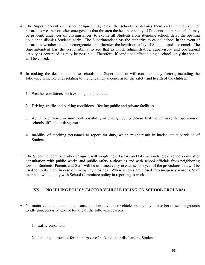- A. The Superintendent or his/her designee may close the schools or dismiss them early in the event of hazardous weather or other emergencies that threaten the health or safety of Students and personnel. It may be prudent, under certain circumstances, to excuse all Students from attending school, delay the opening hour or to dismiss Students early. The Superintendent has the authority to cancel school in the event of hazardous weather or other emergencies that threaten the health or safety of Students and personnel. The Superintendent has the responsibility to see that as much administrative, supervisory and operational activity is continued as may be possible. Therefore, if conditions affect a single school, only that school will be closed.
- B. In making the decision to close schools, the Superintendent will consider many factors, including the following principle ones relating to the fundamental concern for the safety and health of the children:
	- 1. Weather conditions, both existing and predicted
	- 2. Driving, traffic and parking conditions affecting public and private facilities
	- 3. Actual occurrence or imminent possibility of emergency conditions that would make the operation of schools difficult or dangerous
	- 4. Inability of teaching personnel to report for duty, which might result in inadequate supervision of **Students**
- C. The Superintendent or his/her designee will weigh these factors and take action to close schools only after consultation with public works and public safety authorities and with school officials from neighboring towns. Students, Parents and Staff will be informed early in each school year of the procedures that will be used to notify them in case of emergency closings. When schools are closed for emergency reasons, Staff members will comply with School Committee policy in reporting to work.

# **XX. NO IDLING POLICY (MOTOR VEHICLE IDLING ON SCHOOL GROUNDS)**

- A. No motor vehicle operator shall cause or allow any motor vehicle operated by him or her on school grounds to idle unnecessarily, except for any of the following reasons:
	- 1. traffic conditions
	- 2. queuing at a school for the purpose of picking up or discharging Students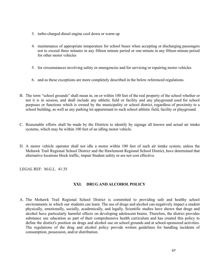- 3. turbo-charged diesel engine cool down or warm up
- 4. maintenance of appropriate temperature for school buses when accepting or discharging passengers not to exceed three minutes in any fifteen minute period or one minute in any fifteen minute period for other motor vehicles
- 5. for circumstances involving safety or emergencies and for servicing or repairing motor vehicles
- 6. and as these exceptions are more completely described in the below referenced regulations.
- B. The term "school grounds" shall mean in, on or within 100 feet of the real property of the school whether or not it is in session, and shall include any athletic field or facility and any playground used for school purposes or functions which is owned by the municipality or school district, regardless of proximity to a school building, as well as any parking lot appurtenant to such school athletic field, facility or playground.
- C. Reasonable efforts shall be made by the Districts to identify by signage all known and actual air intake systems, which may be within 100 feet of an idling motor vehicle.
- D. A motor vehicle operator shall not idle a motor within 100 feet of such air intake system, unless the Mohawk Trail Regional School District and the Hawlemont Regional School District, have determined that alternative locations block traffic, impair Student safety or are not cost effective.

LEGAL REF: M.G.L. 41:35

# **XXI. DRUG AND ALCOHOL POLICY**

A. The Mohawk Trail Regional School District is committed to providing safe and healthy school environments in which our students can learn. The use of drugs and alcohol can negatively impact a student physically, emotionally, socially, academically, and legally. Scientific studies have shown that drugs and alcohol have particularly harmful effects on developing adolescent brains. Therefore, the district provides substance use education as part of their comprehensive health curriculum and has created this policy to define the district's position on drugs and alcohol use on school grounds and at school-sponsored activities. The regulations of the drug and alcohol policy provide written guidelines for handling incidents of consumption, possession, and/or distribution.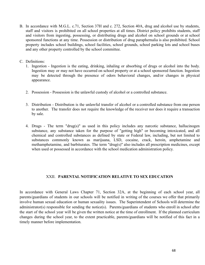- B. In accordance with M.G.L. c.71, Section 37H and c. 272, Section 40A, drug and alcohol use by students, staff and visitors is prohibited on all school properties at all times. District policy prohibits students, staff and visitors from ingesting, possessing, or distributing drugs and alcohol on school grounds or at school sponsored functions at any time. Possession or distribution of drug paraphernalia is also prohibited. School property includes school buildings, school facilities, school grounds, school parking lots and school buses and any other property controlled by the school committee.
- C. Definitions:
	- 1. Ingestion Ingestion is the eating, drinking, inhaling or absorbing of drugs or alcohol into the body. Ingestion may or may not have occurred on school property or at a school sponsored function. Ingestion may be detected through the presence of odors behavioral changes, and/or changes in physical appearance.
	- 2. Possession Possession is the unlawful custody of alcohol or a controlled substance.
	- 3. Distribution Distribution is the unlawful transfer of alcohol or a controlled substance from one person to another. The transfer does not require the knowledge of the receiver nor does it require a transaction by sale.
	- 4. Drugs The term "drug(s)" as used in this policy includes any narcotic substance, hallucinogen substance, any substance taken for the purpose of "getting high" or becoming intoxicated, and all chemical and controlled substances as defined by state or Federal law, including, but not limited to substances commonly known as marijuana, LSD, cocaine, crack, heroin, amphetamine and methamphetamine, and barbiturates. The term "drug(s)" also includes all prescription medicines, except when used or possessed in accordance with the school medication administration policy.

# XXII. **PARENTAL NOTIFICATION RELATIVE TO SEX EDUCATION**

In accordance with General Laws Chapter 71, Section 32A, at the beginning of each school year, all parents/guardians of students in our schools will be notified in writing of the courses we offer that primarily involve human sexual education or human sexuality issues. The Superintendent of Schools will determine the administrator(s) responsible for sending the notice(s). Parents/guardians of students who enroll in school after the start of the school year will be given the written notice at the time of enrollment. If the planned curriculum changes during the school year, to the extent practicable, parents/guardians will be notified of this fact in a timely manner before implementation.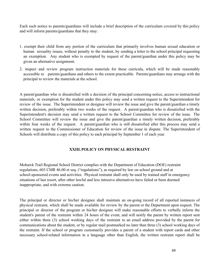Each such notice to parents/guardians will include a brief description of the curriculum covered by this policy and will inform parents/guardians that they may:

- 1. exempt their child from any portion of the curriculum that primarily involves human sexual education or human sexuality issues, without penalty to the student, by sending a letter to the school principal requesting an exemption. Any student who is exempted by request of the parent/guardian under this policy may be given an alternative assignment.
- 2. inspect and review program instruction materials for these curricula, which will be made reasonably accessible to parents/guardians and others to the extent practicable. Parents/guardians may arrange with the principal to review the materials at the school.

A parent/guardian who is dissatisfied with a decision of the principal concerning notice, access to instructional materials, or exemption for the student under this policy may send a written request to the Superintendent for review of the issue. The Superintendent or designee will review the issue and give the parent/guardian a timely written decision, preferably within two weeks of the request. A parent/guardian who is dissatisfied with the Superintendent's decision may send a written request to the School Committee for review of the issue. The School Committee will review the issue and give the parent/guardian a timely written decision, preferably within four weeks of the request. A parent/guardian who is still dissatisfied after this process may send a written request to the Commissioner of Education for review of the issue in dispute. The Superintendent of Schools will distribute a copy of this policy to each principal by September 1 of each year.

# **XXIII.POLICY ON PHYSICAL RESTRAINT**

Mohawk Trail Regional School District complies with the Department of Education (DOE) restraint regulations, 603 CMR 46.00 et seq. ("regulations"), as required by law on school ground and at school-sponsored events and activities. Physical restraint shall only be used by trained staff in emergency situations of last resort, after other lawful and less intrusive alternatives have failed or been deemed inappropriate, and with extreme caution.

The principal or director or his/her designee shall maintain an on-going record of all reported instances of physical restraint, which shall be made available for review by the parent or the Department upon request. The principal or director of the program or his/her designee will make reasonable efforts to verbally inform the student's parent of the restraint within 24 hours of the event, and will notify the parent by written report sent either within three (3) school working days of the restraint to an email address provided by the parent for communications about the student, or by regular mail postmarked no later than three (3) school working days of the restraint. If the school or program customarily provides a parent of a student with report cards and other necessary school-related information in a language other than English, the written restraint report shall be